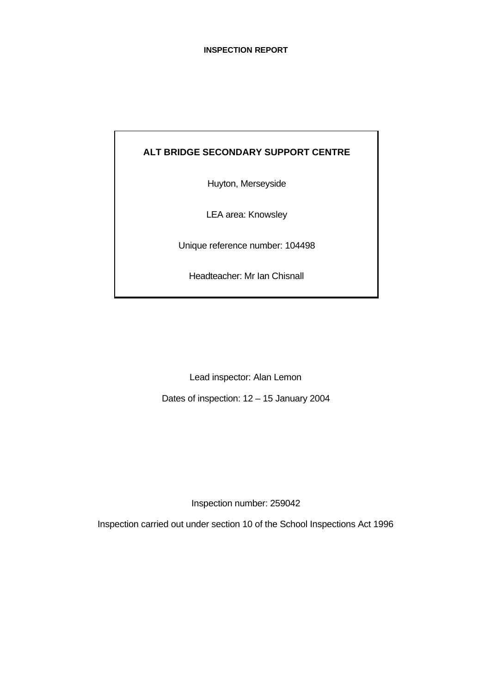# **ALT BRIDGE SECONDARY SUPPORT CENTRE**

Huyton, Merseyside

LEA area: Knowsley

Unique reference number: 104498

Headteacher: Mr Ian Chisnall

Lead inspector: Alan Lemon

Dates of inspection: 12 – 15 January 2004

Inspection number: 259042

Inspection carried out under section 10 of the School Inspections Act 1996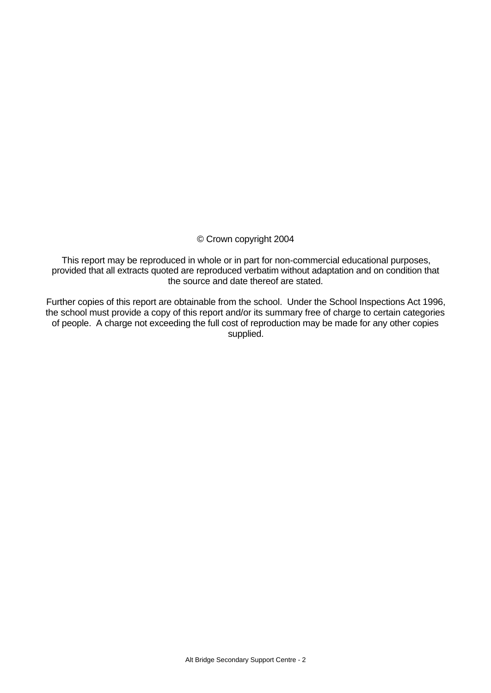# © Crown copyright 2004

This report may be reproduced in whole or in part for non-commercial educational purposes, provided that all extracts quoted are reproduced verbatim without adaptation and on condition that the source and date thereof are stated.

Further copies of this report are obtainable from the school. Under the School Inspections Act 1996, the school must provide a copy of this report and/or its summary free of charge to certain categories of people. A charge not exceeding the full cost of reproduction may be made for any other copies supplied.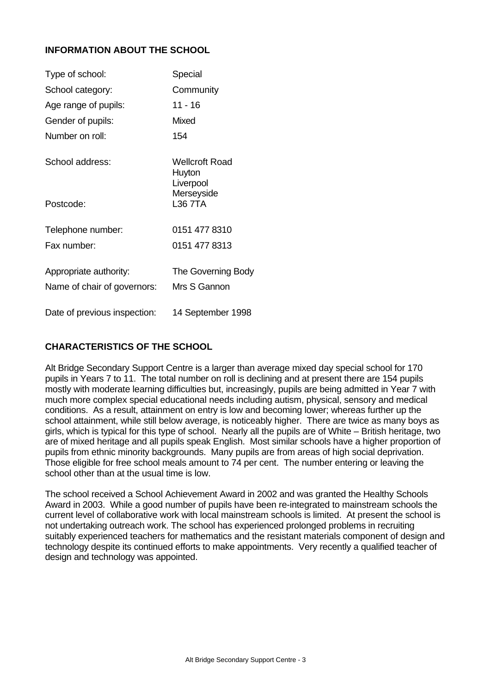# **INFORMATION ABOUT THE SCHOOL**

| Type of school:              | Special                                      |
|------------------------------|----------------------------------------------|
| School category:             | Community                                    |
| Age range of pupils:         | 11 - 16                                      |
| Gender of pupils:            | Mixed                                        |
| Number on roll:              | 154                                          |
| School address:              | <b>Wellcroft Road</b><br>Huyton<br>Liverpool |
| Postcode:                    | Merseyside<br>L36 7TA                        |
| Telephone number:            | 0151 477 8310                                |
| Fax number:                  | 0151 477 8313                                |
| Appropriate authority:       | The Governing Body                           |
| Name of chair of governors:  | Mrs S Gannon                                 |
| Date of previous inspection: | 14 September 1998                            |

# **CHARACTERISTICS OF THE SCHOOL**

Alt Bridge Secondary Support Centre is a larger than average mixed day special school for 170 pupils in Years 7 to 11. The total number on roll is declining and at present there are 154 pupils mostly with moderate learning difficulties but, increasingly, pupils are being admitted in Year 7 with much more complex special educational needs including autism, physical, sensory and medical conditions. As a result, attainment on entry is low and becoming lower; whereas further up the school attainment, while still below average, is noticeably higher. There are twice as many boys as girls, which is typical for this type of school. Nearly all the pupils are of White – British heritage, two are of mixed heritage and all pupils speak English. Most similar schools have a higher proportion of pupils from ethnic minority backgrounds. Many pupils are from areas of high social deprivation. Those eligible for free school meals amount to 74 per cent. The number entering or leaving the school other than at the usual time is low.

The school received a School Achievement Award in 2002 and was granted the Healthy Schools Award in 2003. While a good number of pupils have been re-integrated to mainstream schools the current level of collaborative work with local mainstream schools is limited. At present the school is not undertaking outreach work. The school has experienced prolonged problems in recruiting suitably experienced teachers for mathematics and the resistant materials component of design and technology despite its continued efforts to make appointments. Very recently a qualified teacher of design and technology was appointed.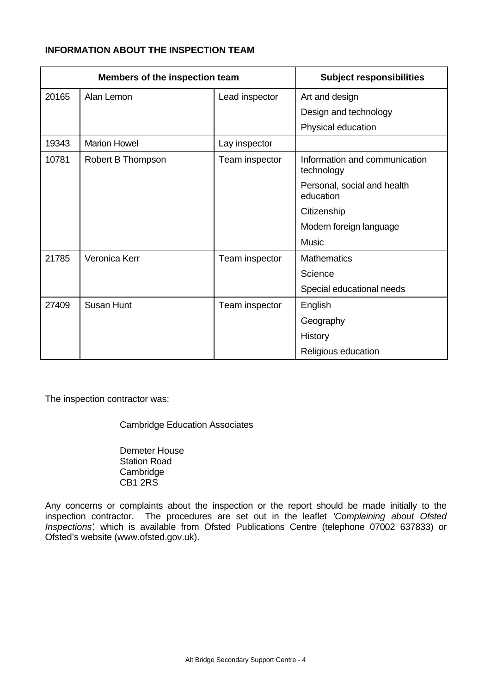# **INFORMATION ABOUT THE INSPECTION TEAM**

| Members of the inspection team |                     | <b>Subject responsibilities</b> |                                             |
|--------------------------------|---------------------|---------------------------------|---------------------------------------------|
| 20165                          | Alan Lemon          | Lead inspector                  | Art and design                              |
|                                |                     |                                 | Design and technology                       |
|                                |                     |                                 | Physical education                          |
| 19343                          | <b>Marion Howel</b> | Lay inspector                   |                                             |
| 10781                          | Robert B Thompson   | Team inspector                  | Information and communication<br>technology |
|                                |                     |                                 | Personal, social and health<br>education    |
|                                |                     |                                 | Citizenship                                 |
|                                |                     |                                 | Modern foreign language                     |
|                                |                     |                                 | <b>Music</b>                                |
| 21785                          | Veronica Kerr       | Team inspector                  | <b>Mathematics</b>                          |
|                                |                     |                                 | Science                                     |
|                                |                     |                                 | Special educational needs                   |
| 27409                          | Susan Hunt          | Team inspector                  | English                                     |
|                                |                     |                                 | Geography                                   |
|                                |                     |                                 | History                                     |
|                                |                     |                                 | Religious education                         |

The inspection contractor was:

Cambridge Education Associates

Demeter House Station Road **Cambridge** CB1 2RS

Any concerns or complaints about the inspection or the report should be made initially to the inspection contractor. The procedures are set out in the leaflet *'Complaining about Ofsted Inspections'*, which is available from Ofsted Publications Centre (telephone 07002 637833) or Ofsted's website (www.ofsted.gov.uk).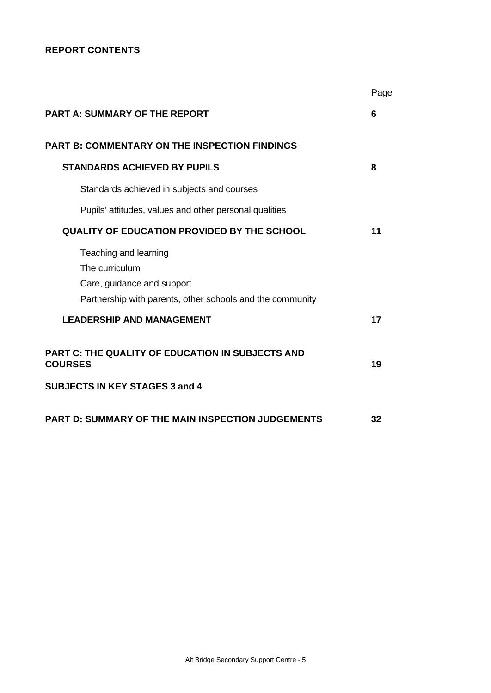# **REPORT CONTENTS**

|                                                                                                                                    | Page |
|------------------------------------------------------------------------------------------------------------------------------------|------|
| <b>PART A: SUMMARY OF THE REPORT</b>                                                                                               | 6    |
| <b>PART B: COMMENTARY ON THE INSPECTION FINDINGS</b>                                                                               |      |
| <b>STANDARDS ACHIEVED BY PUPILS</b>                                                                                                | 8    |
| Standards achieved in subjects and courses                                                                                         |      |
| Pupils' attitudes, values and other personal qualities                                                                             |      |
| <b>QUALITY OF EDUCATION PROVIDED BY THE SCHOOL</b>                                                                                 | 11   |
| Teaching and learning<br>The curriculum<br>Care, guidance and support<br>Partnership with parents, other schools and the community |      |
| <b>LEADERSHIP AND MANAGEMENT</b>                                                                                                   | 17   |
| <b>PART C: THE QUALITY OF EDUCATION IN SUBJECTS AND</b><br><b>COURSES</b><br><b>SUBJECTS IN KEY STAGES 3 and 4</b>                 | 19   |
|                                                                                                                                    |      |
| <b>PART D: SUMMARY OF THE MAIN INSPECTION JUDGEMENTS</b>                                                                           | 32   |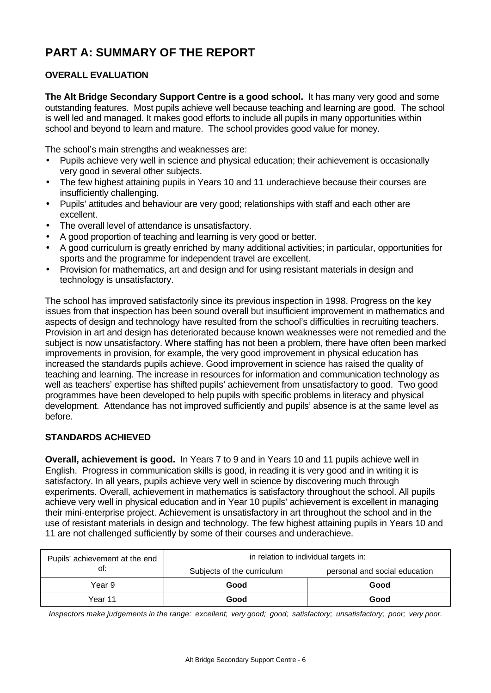# **PART A: SUMMARY OF THE REPORT**

# **OVERALL EVALUATION**

**The Alt Bridge Secondary Support Centre is a good school.** It has many very good and some outstanding features. Most pupils achieve well because teaching and learning are good. The school is well led and managed. It makes good efforts to include all pupils in many opportunities within school and beyond to learn and mature. The school provides good value for money.

The school's main strengths and weaknesses are:

- Pupils achieve very well in science and physical education; their achievement is occasionally very good in several other subjects.
- The few highest attaining pupils in Years 10 and 11 underachieve because their courses are insufficiently challenging.
- Pupils' attitudes and behaviour are very good; relationships with staff and each other are excellent.
- The overall level of attendance is unsatisfactory.
- A good proportion of teaching and learning is very good or better.
- A good curriculum is greatly enriched by many additional activities; in particular, opportunities for sports and the programme for independent travel are excellent.
- Provision for mathematics, art and design and for using resistant materials in design and technology is unsatisfactory.

The school has improved satisfactorily since its previous inspection in 1998. Progress on the key issues from that inspection has been sound overall but insufficient improvement in mathematics and aspects of design and technology have resulted from the school's difficulties in recruiting teachers. Provision in art and design has deteriorated because known weaknesses were not remedied and the subject is now unsatisfactory. Where staffing has not been a problem, there have often been marked improvements in provision, for example, the very good improvement in physical education has increased the standards pupils achieve. Good improvement in science has raised the quality of teaching and learning. The increase in resources for information and communication technology as well as teachers' expertise has shifted pupils' achievement from unsatisfactory to good. Two good programmes have been developed to help pupils with specific problems in literacy and physical development. Attendance has not improved sufficiently and pupils' absence is at the same level as before.

# **STANDARDS ACHIEVED**

**Overall, achievement is good.** In Years 7 to 9 and in Years 10 and 11 pupils achieve well in English. Progress in communication skills is good, in reading it is very good and in writing it is satisfactory. In all years, pupils achieve very well in science by discovering much through experiments. Overall, achievement in mathematics is satisfactory throughout the school. All pupils achieve very well in physical education and in Year 10 pupils' achievement is excellent in managing their mini-enterprise project. Achievement is unsatisfactory in art throughout the school and in the use of resistant materials in design and technology. The few highest attaining pupils in Years 10 and 11 are not challenged sufficiently by some of their courses and underachieve.

| Pupils' achievement at the end | in relation to individual targets in: |                               |  |  |
|--------------------------------|---------------------------------------|-------------------------------|--|--|
| ot:                            | Subjects of the curriculum            | personal and social education |  |  |
| Year 9                         | Good                                  | Good                          |  |  |
| Year 11                        | Good                                  | Good                          |  |  |

*Inspectors make judgements in the range: excellent; very good; good; satisfactory; unsatisfactory; poor; very poor.*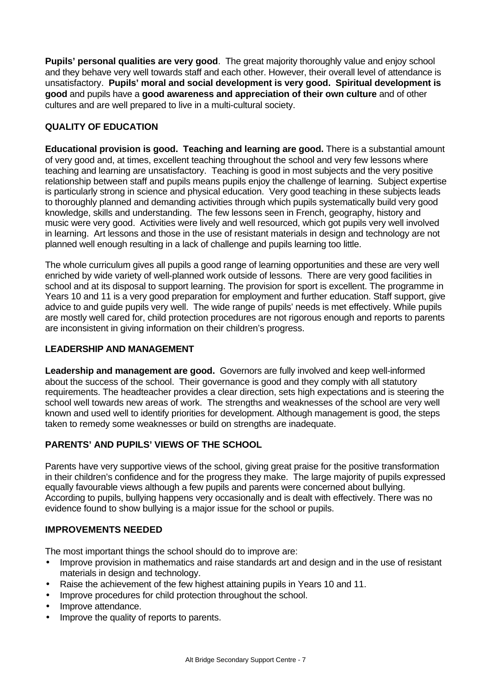**Pupils' personal qualities are very good**. The great majority thoroughly value and enjoy school and they behave very well towards staff and each other. However, their overall level of attendance is unsatisfactory. **Pupils' moral and social development is very good. Spiritual development is good** and pupils have a **good awareness and appreciation of their own culture** and of other cultures and are well prepared to live in a multi-cultural society.

# **QUALITY OF EDUCATION**

**Educational provision is good. Teaching and learning are good.** There is a substantial amount of very good and, at times, excellent teaching throughout the school and very few lessons where teaching and learning are unsatisfactory. Teaching is good in most subjects and the very positive relationship between staff and pupils means pupils enjoy the challenge of learning. Subject expertise is particularly strong in science and physical education. Very good teaching in these subjects leads to thoroughly planned and demanding activities through which pupils systematically build very good knowledge, skills and understanding. The few lessons seen in French, geography, history and music were very good. Activities were lively and well resourced, which got pupils very well involved in learning. Art lessons and those in the use of resistant materials in design and technology are not planned well enough resulting in a lack of challenge and pupils learning too little.

The whole curriculum gives all pupils a good range of learning opportunities and these are very well enriched by wide variety of well-planned work outside of lessons. There are very good facilities in school and at its disposal to support learning. The provision for sport is excellent. The programme in Years 10 and 11 is a very good preparation for employment and further education. Staff support, give advice to and guide pupils very well. The wide range of pupils' needs is met effectively. While pupils are mostly well cared for, child protection procedures are not rigorous enough and reports to parents are inconsistent in giving information on their children's progress.

# **LEADERSHIP AND MANAGEMENT**

**Leadership and management are good.** Governors are fully involved and keep well-informed about the success of the school. Their governance is good and they comply with all statutory requirements. The headteacher provides a clear direction, sets high expectations and is steering the school well towards new areas of work. The strengths and weaknesses of the school are very well known and used well to identify priorities for development. Although management is good, the steps taken to remedy some weaknesses or build on strengths are inadequate.

# **PARENTS' AND PUPILS' VIEWS OF THE SCHOOL**

Parents have very supportive views of the school, giving great praise for the positive transformation in their children's confidence and for the progress they make. The large majority of pupils expressed equally favourable views although a few pupils and parents were concerned about bullying. According to pupils, bullying happens very occasionally and is dealt with effectively. There was no evidence found to show bullying is a major issue for the school or pupils.

# **IMPROVEMENTS NEEDED**

The most important things the school should do to improve are:

- Improve provision in mathematics and raise standards art and design and in the use of resistant materials in design and technology.
- Raise the achievement of the few highest attaining pupils in Years 10 and 11.
- Improve procedures for child protection throughout the school.
- Improve attendance.
- Improve the quality of reports to parents.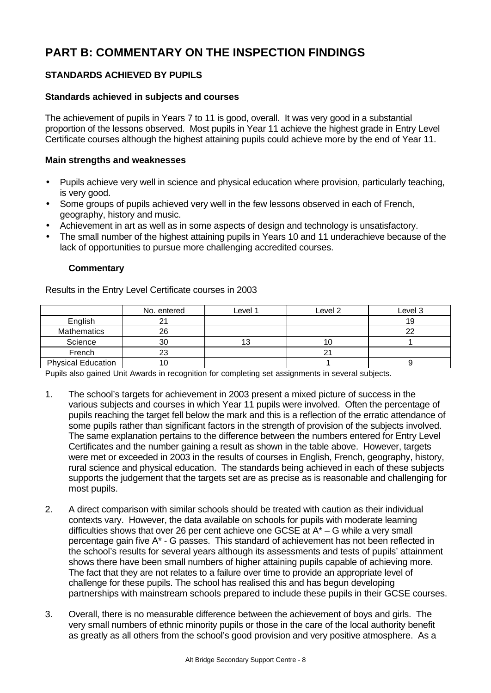# **PART B: COMMENTARY ON THE INSPECTION FINDINGS**

# **STANDARDS ACHIEVED BY PUPILS**

# **Standards achieved in subjects and courses**

The achievement of pupils in Years 7 to 11 is good, overall. It was very good in a substantial proportion of the lessons observed. Most pupils in Year 11 achieve the highest grade in Entry Level Certificate courses although the highest attaining pupils could achieve more by the end of Year 11.

# **Main strengths and weaknesses**

- Pupils achieve very well in science and physical education where provision, particularly teaching, is very good.
- Some groups of pupils achieved very well in the few lessons observed in each of French, geography, history and music.
- Achievement in art as well as in some aspects of design and technology is unsatisfactory.
- The small number of the highest attaining pupils in Years 10 and 11 underachieve because of the lack of opportunities to pursue more challenging accredited courses.

# **Commentary**

Results in the Entry Level Certificate courses in 2003

|                           | No. entered | Level 1 | Level 2 | Level 3 |
|---------------------------|-------------|---------|---------|---------|
| English                   | 21          |         |         | 19      |
| <b>Mathematics</b>        | 26          |         |         |         |
| Science                   | 30          |         | 10      |         |
| French                    | 23          |         |         |         |
| <b>Physical Education</b> | 10          |         |         |         |

Pupils also gained Unit Awards in recognition for completing set assignments in several subjects.

- 1. The school's targets for achievement in 2003 present a mixed picture of success in the various subjects and courses in which Year 11 pupils were involved. Often the percentage of pupils reaching the target fell below the mark and this is a reflection of the erratic attendance of some pupils rather than significant factors in the strength of provision of the subjects involved. The same explanation pertains to the difference between the numbers entered for Entry Level Certificates and the number gaining a result as shown in the table above. However, targets were met or exceeded in 2003 in the results of courses in English, French, geography, history, rural science and physical education. The standards being achieved in each of these subjects supports the judgement that the targets set are as precise as is reasonable and challenging for most pupils.
- 2. A direct comparison with similar schools should be treated with caution as their individual contexts vary. However, the data available on schools for pupils with moderate learning difficulties shows that over 26 per cent achieve one GCSE at  $A^* - G$  while a very small percentage gain five A\* - G passes. This standard of achievement has not been reflected in the school's results for several years although its assessments and tests of pupils' attainment shows there have been small numbers of higher attaining pupils capable of achieving more. The fact that they are not relates to a failure over time to provide an appropriate level of challenge for these pupils. The school has realised this and has begun developing partnerships with mainstream schools prepared to include these pupils in their GCSE courses.
- 3. Overall, there is no measurable difference between the achievement of boys and girls. The very small numbers of ethnic minority pupils or those in the care of the local authority benefit as greatly as all others from the school's good provision and very positive atmosphere. As a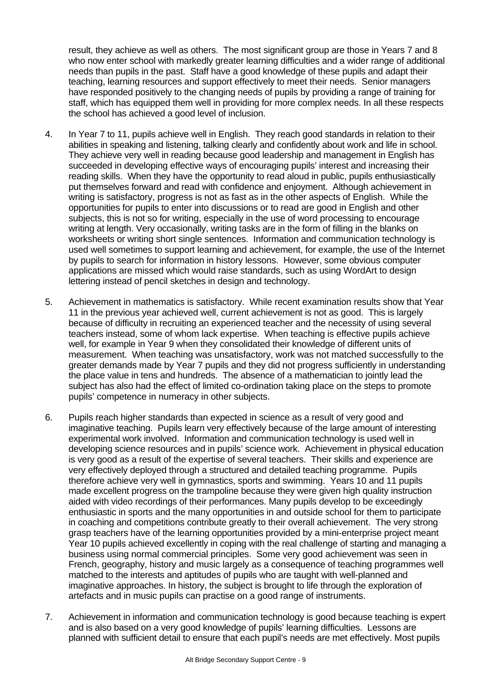result, they achieve as well as others. The most significant group are those in Years 7 and 8 who now enter school with markedly greater learning difficulties and a wider range of additional needs than pupils in the past. Staff have a good knowledge of these pupils and adapt their teaching, learning resources and support effectively to meet their needs. Senior managers have responded positively to the changing needs of pupils by providing a range of training for staff, which has equipped them well in providing for more complex needs. In all these respects the school has achieved a good level of inclusion.

- 4. In Year 7 to 11, pupils achieve well in English. They reach good standards in relation to their abilities in speaking and listening, talking clearly and confidently about work and life in school. They achieve very well in reading because good leadership and management in English has succeeded in developing effective ways of encouraging pupils' interest and increasing their reading skills. When they have the opportunity to read aloud in public, pupils enthusiastically put themselves forward and read with confidence and enjoyment. Although achievement in writing is satisfactory, progress is not as fast as in the other aspects of English. While the opportunities for pupils to enter into discussions or to read are good in English and other subjects, this is not so for writing, especially in the use of word processing to encourage writing at length. Very occasionally, writing tasks are in the form of filling in the blanks on worksheets or writing short single sentences. Information and communication technology is used well sometimes to support learning and achievement, for example, the use of the Internet by pupils to search for information in history lessons. However, some obvious computer applications are missed which would raise standards, such as using WordArt to design lettering instead of pencil sketches in design and technology.
- 5. Achievement in mathematics is satisfactory. While recent examination results show that Year 11 in the previous year achieved well, current achievement is not as good. This is largely because of difficulty in recruiting an experienced teacher and the necessity of using several teachers instead, some of whom lack expertise. When teaching is effective pupils achieve well, for example in Year 9 when they consolidated their knowledge of different units of measurement. When teaching was unsatisfactory, work was not matched successfully to the greater demands made by Year 7 pupils and they did not progress sufficiently in understanding the place value in tens and hundreds. The absence of a mathematician to jointly lead the subject has also had the effect of limited co-ordination taking place on the steps to promote pupils' competence in numeracy in other subjects.
- 6. Pupils reach higher standards than expected in science as a result of very good and imaginative teaching. Pupils learn very effectively because of the large amount of interesting experimental work involved. Information and communication technology is used well in developing science resources and in pupils' science work. Achievement in physical education is very good as a result of the expertise of several teachers. Their skills and experience are very effectively deployed through a structured and detailed teaching programme. Pupils therefore achieve very well in gymnastics, sports and swimming. Years 10 and 11 pupils made excellent progress on the trampoline because they were given high quality instruction aided with video recordings of their performances. Many pupils develop to be exceedingly enthusiastic in sports and the many opportunities in and outside school for them to participate in coaching and competitions contribute greatly to their overall achievement. The very strong grasp teachers have of the learning opportunities provided by a mini-enterprise project meant Year 10 pupils achieved excellently in coping with the real challenge of starting and managing a business using normal commercial principles. Some very good achievement was seen in French, geography, history and music largely as a consequence of teaching programmes well matched to the interests and aptitudes of pupils who are taught with well-planned and imaginative approaches. In history, the subject is brought to life through the exploration of artefacts and in music pupils can practise on a good range of instruments.
- 7. Achievement in information and communication technology is good because teaching is expert and is also based on a very good knowledge of pupils' learning difficulties. Lessons are planned with sufficient detail to ensure that each pupil's needs are met effectively. Most pupils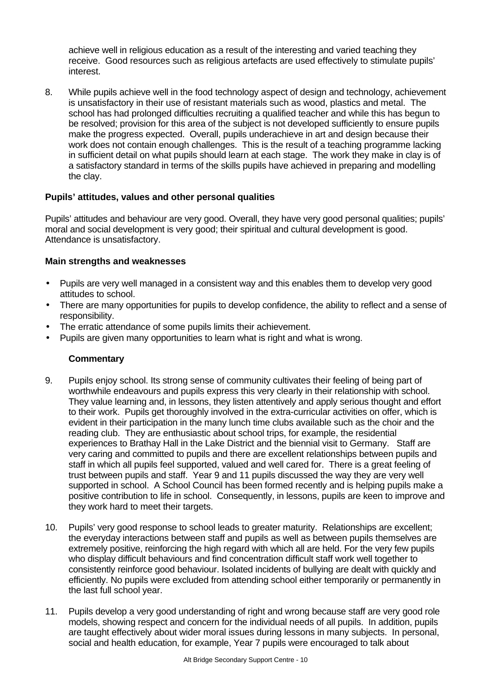achieve well in religious education as a result of the interesting and varied teaching they receive. Good resources such as religious artefacts are used effectively to stimulate pupils' interest.

8. While pupils achieve well in the food technology aspect of design and technology, achievement is unsatisfactory in their use of resistant materials such as wood, plastics and metal. The school has had prolonged difficulties recruiting a qualified teacher and while this has begun to be resolved; provision for this area of the subject is not developed sufficiently to ensure pupils make the progress expected. Overall, pupils underachieve in art and design because their work does not contain enough challenges. This is the result of a teaching programme lacking in sufficient detail on what pupils should learn at each stage. The work they make in clay is of a satisfactory standard in terms of the skills pupils have achieved in preparing and modelling the clay.

# **Pupils' attitudes, values and other personal qualities**

Pupils' attitudes and behaviour are very good. Overall, they have very good personal qualities; pupils' moral and social development is very good; their spiritual and cultural development is good. Attendance is unsatisfactory.

# **Main strengths and weaknesses**

- Pupils are very well managed in a consistent way and this enables them to develop very good attitudes to school.
- There are many opportunities for pupils to develop confidence, the ability to reflect and a sense of responsibility.
- The erratic attendance of some pupils limits their achievement.
- Pupils are given many opportunities to learn what is right and what is wrong.

- 9. Pupils enjoy school. Its strong sense of community cultivates their feeling of being part of worthwhile endeavours and pupils express this very clearly in their relationship with school. They value learning and, in lessons, they listen attentively and apply serious thought and effort to their work. Pupils get thoroughly involved in the extra-curricular activities on offer, which is evident in their participation in the many lunch time clubs available such as the choir and the reading club. They are enthusiastic about school trips, for example, the residential experiences to Brathay Hall in the Lake District and the biennial visit to Germany. Staff are very caring and committed to pupils and there are excellent relationships between pupils and staff in which all pupils feel supported, valued and well cared for. There is a great feeling of trust between pupils and staff. Year 9 and 11 pupils discussed the way they are very well supported in school. A School Council has been formed recently and is helping pupils make a positive contribution to life in school. Consequently, in lessons, pupils are keen to improve and they work hard to meet their targets.
- 10. Pupils' very good response to school leads to greater maturity. Relationships are excellent; the everyday interactions between staff and pupils as well as between pupils themselves are extremely positive, reinforcing the high regard with which all are held. For the very few pupils who display difficult behaviours and find concentration difficult staff work well together to consistently reinforce good behaviour. Isolated incidents of bullying are dealt with quickly and efficiently. No pupils were excluded from attending school either temporarily or permanently in the last full school year.
- 11. Pupils develop a very good understanding of right and wrong because staff are very good role models, showing respect and concern for the individual needs of all pupils. In addition, pupils are taught effectively about wider moral issues during lessons in many subjects. In personal, social and health education, for example, Year 7 pupils were encouraged to talk about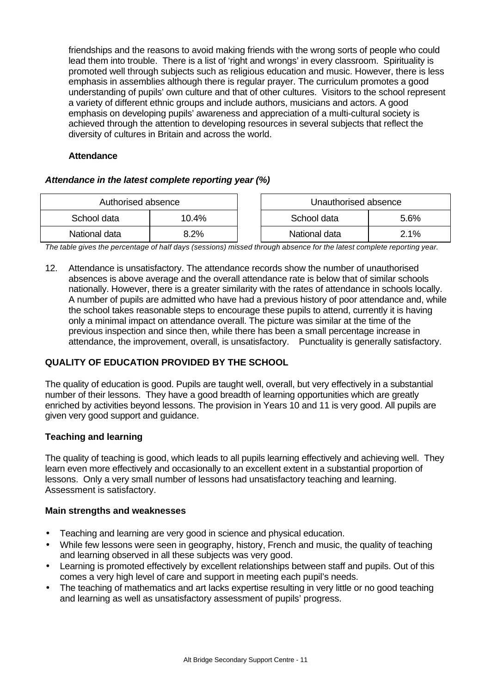friendships and the reasons to avoid making friends with the wrong sorts of people who could lead them into trouble. There is a list of 'right and wrongs' in every classroom. Spirituality is promoted well through subjects such as religious education and music. However, there is less emphasis in assemblies although there is regular prayer. The curriculum promotes a good understanding of pupils' own culture and that of other cultures. Visitors to the school represent a variety of different ethnic groups and include authors, musicians and actors. A good emphasis on developing pupils' awareness and appreciation of a multi-cultural society is achieved through the attention to developing resources in several subjects that reflect the diversity of cultures in Britain and across the world.

# **Attendance**

# *Attendance in the latest complete reporting year (%)*

| Authorised absence |       | Unauthorised absence |      |
|--------------------|-------|----------------------|------|
| School data        | 10.4% | School data<br>5.6%  |      |
| National data      | 8.2%  | National data        | 2.1% |

*The table gives the percentage of half days (sessions) missed through absence for the latest complete reporting year.*

12. Attendance is unsatisfactory. The attendance records show the number of unauthorised absences is above average and the overall attendance rate is below that of similar schools nationally. However, there is a greater similarity with the rates of attendance in schools locally. A number of pupils are admitted who have had a previous history of poor attendance and, while the school takes reasonable steps to encourage these pupils to attend, currently it is having only a minimal impact on attendance overall. The picture was similar at the time of the previous inspection and since then, while there has been a small percentage increase in attendance, the improvement, overall, is unsatisfactory. Punctuality is generally satisfactory.

# **QUALITY OF EDUCATION PROVIDED BY THE SCHOOL**

The quality of education is good. Pupils are taught well, overall, but very effectively in a substantial number of their lessons. They have a good breadth of learning opportunities which are greatly enriched by activities beyond lessons. The provision in Years 10 and 11 is very good. All pupils are given very good support and guidance.

# **Teaching and learning**

The quality of teaching is good, which leads to all pupils learning effectively and achieving well. They learn even more effectively and occasionally to an excellent extent in a substantial proportion of lessons. Only a very small number of lessons had unsatisfactory teaching and learning. Assessment is satisfactory.

# **Main strengths and weaknesses**

- Teaching and learning are very good in science and physical education.
- While few lessons were seen in geography, history, French and music, the quality of teaching and learning observed in all these subjects was very good.
- Learning is promoted effectively by excellent relationships between staff and pupils. Out of this comes a very high level of care and support in meeting each pupil's needs.
- The teaching of mathematics and art lacks expertise resulting in very little or no good teaching and learning as well as unsatisfactory assessment of pupils' progress.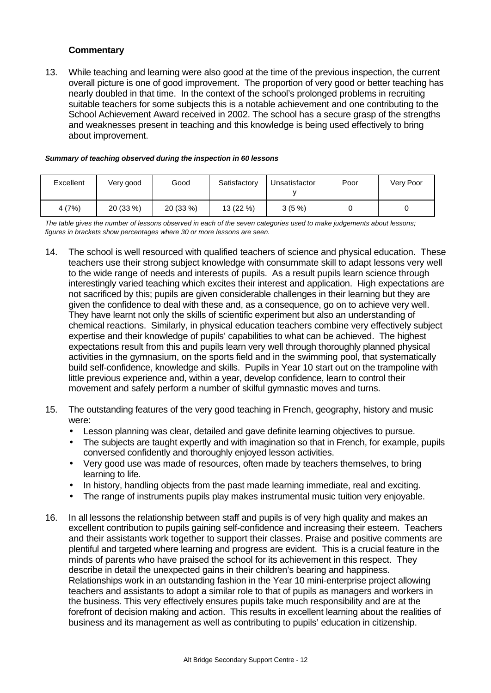# **Commentary**

13. While teaching and learning were also good at the time of the previous inspection, the current overall picture is one of good improvement. The proportion of very good or better teaching has nearly doubled in that time. In the context of the school's prolonged problems in recruiting suitable teachers for some subjects this is a notable achievement and one contributing to the School Achievement Award received in 2002. The school has a secure grasp of the strengths and weaknesses present in teaching and this knowledge is being used effectively to bring about improvement.

|  |  | Summary of teaching observed during the inspection in 60 lessons |
|--|--|------------------------------------------------------------------|
|--|--|------------------------------------------------------------------|

| Excellent | Very good | Good      | Satisfactory | Unsatisfactor | Poor | Very Poor |
|-----------|-----------|-----------|--------------|---------------|------|-----------|
| 4 (7%)    | 20 (33 %) | 20 (33 %) | $13(22\%)$   | $3(5\%)$      |      |           |

*The table gives the number of lessons observed in each of the seven categories used to make judgements about lessons; figures in brackets show percentages where 30 or more lessons are seen.*

- 14. The school is well resourced with qualified teachers of science and physical education. These teachers use their strong subject knowledge with consummate skill to adapt lessons very well to the wide range of needs and interests of pupils. As a result pupils learn science through interestingly varied teaching which excites their interest and application. High expectations are not sacrificed by this; pupils are given considerable challenges in their learning but they are given the confidence to deal with these and, as a consequence, go on to achieve very well. They have learnt not only the skills of scientific experiment but also an understanding of chemical reactions. Similarly, in physical education teachers combine very effectively subject expertise and their knowledge of pupils' capabilities to what can be achieved. The highest expectations result from this and pupils learn very well through thoroughly planned physical activities in the gymnasium, on the sports field and in the swimming pool, that systematically build self-confidence, knowledge and skills. Pupils in Year 10 start out on the trampoline with little previous experience and, within a year, develop confidence, learn to control their movement and safely perform a number of skilful gymnastic moves and turns.
- 15. The outstanding features of the very good teaching in French, geography, history and music were:
	- Lesson planning was clear, detailed and gave definite learning objectives to pursue.
	- The subjects are taught expertly and with imagination so that in French, for example, pupils conversed confidently and thoroughly enjoyed lesson activities.
	- Very good use was made of resources, often made by teachers themselves, to bring learning to life.
	- In history, handling objects from the past made learning immediate, real and exciting.
	- The range of instruments pupils play makes instrumental music tuition very enjoyable.
- 16. In all lessons the relationship between staff and pupils is of very high quality and makes an excellent contribution to pupils gaining self-confidence and increasing their esteem. Teachers and their assistants work together to support their classes. Praise and positive comments are plentiful and targeted where learning and progress are evident. This is a crucial feature in the minds of parents who have praised the school for its achievement in this respect. They describe in detail the unexpected gains in their children's bearing and happiness. Relationships work in an outstanding fashion in the Year 10 mini-enterprise project allowing teachers and assistants to adopt a similar role to that of pupils as managers and workers in the business. This very effectively ensures pupils take much responsibility and are at the forefront of decision making and action. This results in excellent learning about the realities of business and its management as well as contributing to pupils' education in citizenship.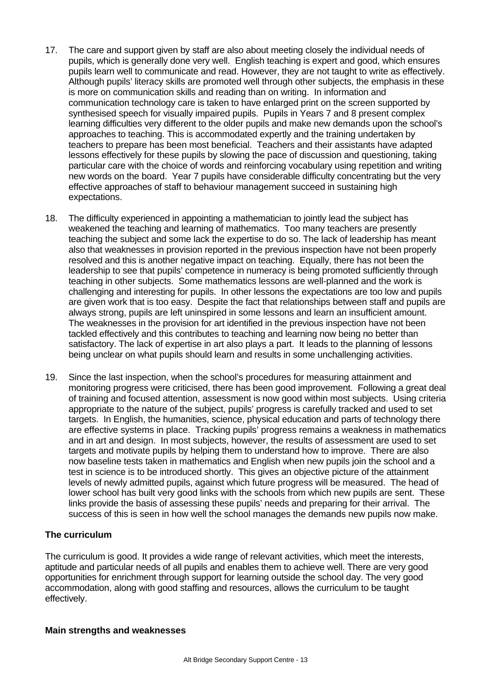- 17. The care and support given by staff are also about meeting closely the individual needs of pupils, which is generally done very well. English teaching is expert and good, which ensures pupils learn well to communicate and read. However, they are not taught to write as effectively. Although pupils' literacy skills are promoted well through other subjects, the emphasis in these is more on communication skills and reading than on writing. In information and communication technology care is taken to have enlarged print on the screen supported by synthesised speech for visually impaired pupils. Pupils in Years 7 and 8 present complex learning difficulties very different to the older pupils and make new demands upon the school's approaches to teaching. This is accommodated expertly and the training undertaken by teachers to prepare has been most beneficial. Teachers and their assistants have adapted lessons effectively for these pupils by slowing the pace of discussion and questioning, taking particular care with the choice of words and reinforcing vocabulary using repetition and writing new words on the board. Year 7 pupils have considerable difficulty concentrating but the very effective approaches of staff to behaviour management succeed in sustaining high expectations.
- 18. The difficulty experienced in appointing a mathematician to jointly lead the subject has weakened the teaching and learning of mathematics. Too many teachers are presently teaching the subject and some lack the expertise to do so. The lack of leadership has meant also that weaknesses in provision reported in the previous inspection have not been properly resolved and this is another negative impact on teaching. Equally, there has not been the leadership to see that pupils' competence in numeracy is being promoted sufficiently through teaching in other subjects. Some mathematics lessons are well-planned and the work is challenging and interesting for pupils. In other lessons the expectations are too low and pupils are given work that is too easy. Despite the fact that relationships between staff and pupils are always strong, pupils are left uninspired in some lessons and learn an insufficient amount. The weaknesses in the provision for art identified in the previous inspection have not been tackled effectively and this contributes to teaching and learning now being no better than satisfactory. The lack of expertise in art also plays a part. It leads to the planning of lessons being unclear on what pupils should learn and results in some unchallenging activities.
- 19. Since the last inspection, when the school's procedures for measuring attainment and monitoring progress were criticised, there has been good improvement. Following a great deal of training and focused attention, assessment is now good within most subjects. Using criteria appropriate to the nature of the subject, pupils' progress is carefully tracked and used to set targets. In English, the humanities, science, physical education and parts of technology there are effective systems in place. Tracking pupils' progress remains a weakness in mathematics and in art and design. In most subjects, however, the results of assessment are used to set targets and motivate pupils by helping them to understand how to improve. There are also now baseline tests taken in mathematics and English when new pupils join the school and a test in science is to be introduced shortly. This gives an objective picture of the attainment levels of newly admitted pupils, against which future progress will be measured. The head of lower school has built very good links with the schools from which new pupils are sent. These links provide the basis of assessing these pupils' needs and preparing for their arrival. The success of this is seen in how well the school manages the demands new pupils now make.

# **The curriculum**

The curriculum is good. It provides a wide range of relevant activities, which meet the interests, aptitude and particular needs of all pupils and enables them to achieve well. There are very good opportunities for enrichment through support for learning outside the school day. The very good accommodation, along with good staffing and resources, allows the curriculum to be taught effectively.

#### **Main strengths and weaknesses**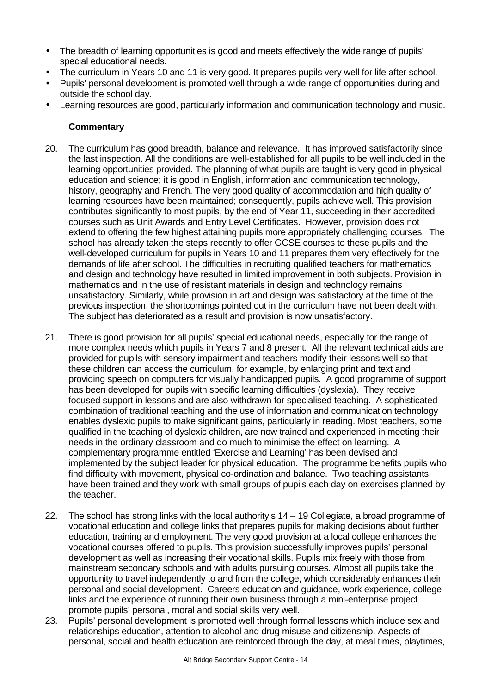- The breadth of learning opportunities is good and meets effectively the wide range of pupils' special educational needs.
- The curriculum in Years 10 and 11 is very good. It prepares pupils very well for life after school.
- Pupils' personal development is promoted well through a wide range of opportunities during and outside the school day.
- Learning resources are good, particularly information and communication technology and music.

- 20. The curriculum has good breadth, balance and relevance. It has improved satisfactorily since the last inspection. All the conditions are well-established for all pupils to be well included in the learning opportunities provided. The planning of what pupils are taught is very good in physical education and science; it is good in English, information and communication technology, history, geography and French. The very good quality of accommodation and high quality of learning resources have been maintained; consequently, pupils achieve well. This provision contributes significantly to most pupils, by the end of Year 11, succeeding in their accredited courses such as Unit Awards and Entry Level Certificates. However, provision does not extend to offering the few highest attaining pupils more appropriately challenging courses. The school has already taken the steps recently to offer GCSE courses to these pupils and the well-developed curriculum for pupils in Years 10 and 11 prepares them very effectively for the demands of life after school. The difficulties in recruiting qualified teachers for mathematics and design and technology have resulted in limited improvement in both subjects. Provision in mathematics and in the use of resistant materials in design and technology remains unsatisfactory. Similarly, while provision in art and design was satisfactory at the time of the previous inspection, the shortcomings pointed out in the curriculum have not been dealt with. The subject has deteriorated as a result and provision is now unsatisfactory.
- 21. There is good provision for all pupils' special educational needs, especially for the range of more complex needs which pupils in Years 7 and 8 present. All the relevant technical aids are provided for pupils with sensory impairment and teachers modify their lessons well so that these children can access the curriculum, for example, by enlarging print and text and providing speech on computers for visually handicapped pupils. A good programme of support has been developed for pupils with specific learning difficulties (dyslexia). They receive focused support in lessons and are also withdrawn for specialised teaching. A sophisticated combination of traditional teaching and the use of information and communication technology enables dyslexic pupils to make significant gains, particularly in reading. Most teachers, some qualified in the teaching of dyslexic children, are now trained and experienced in meeting their needs in the ordinary classroom and do much to minimise the effect on learning. A complementary programme entitled 'Exercise and Learning' has been devised and implemented by the subject leader for physical education. The programme benefits pupils who find difficulty with movement, physical co-ordination and balance. Two teaching assistants have been trained and they work with small groups of pupils each day on exercises planned by the teacher.
- 22. The school has strong links with the local authority's 14 19 Collegiate, a broad programme of vocational education and college links that prepares pupils for making decisions about further education, training and employment. The very good provision at a local college enhances the vocational courses offered to pupils. This provision successfully improves pupils' personal development as well as increasing their vocational skills. Pupils mix freely with those from mainstream secondary schools and with adults pursuing courses. Almost all pupils take the opportunity to travel independently to and from the college, which considerably enhances their personal and social development. Careers education and guidance, work experience, college links and the experience of running their own business through a mini-enterprise project promote pupils' personal, moral and social skills very well.
- 23. Pupils' personal development is promoted well through formal lessons which include sex and relationships education, attention to alcohol and drug misuse and citizenship. Aspects of personal, social and health education are reinforced through the day, at meal times, playtimes,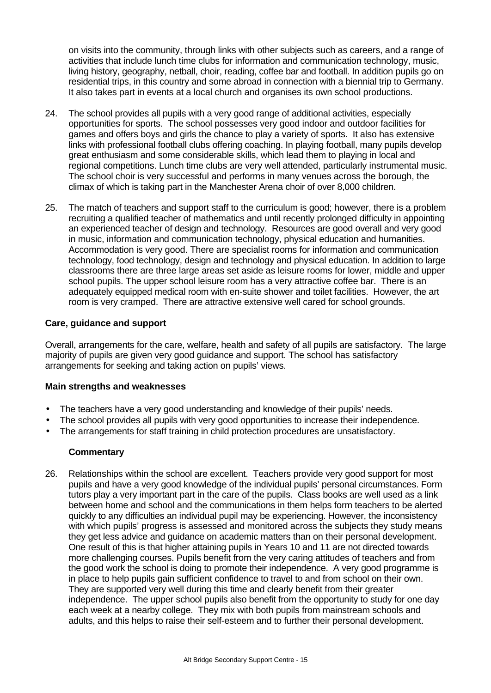on visits into the community, through links with other subjects such as careers, and a range of activities that include lunch time clubs for information and communication technology, music, living history, geography, netball, choir, reading, coffee bar and football. In addition pupils go on residential trips, in this country and some abroad in connection with a biennial trip to Germany. It also takes part in events at a local church and organises its own school productions.

- 24. The school provides all pupils with a very good range of additional activities, especially opportunities for sports. The school possesses very good indoor and outdoor facilities for games and offers boys and girls the chance to play a variety of sports. It also has extensive links with professional football clubs offering coaching. In playing football, many pupils develop great enthusiasm and some considerable skills, which lead them to playing in local and regional competitions. Lunch time clubs are very well attended, particularly instrumental music. The school choir is very successful and performs in many venues across the borough, the climax of which is taking part in the Manchester Arena choir of over 8,000 children.
- 25. The match of teachers and support staff to the curriculum is good; however, there is a problem recruiting a qualified teacher of mathematics and until recently prolonged difficulty in appointing an experienced teacher of design and technology. Resources are good overall and very good in music, information and communication technology, physical education and humanities. Accommodation is very good. There are specialist rooms for information and communication technology, food technology, design and technology and physical education. In addition to large classrooms there are three large areas set aside as leisure rooms for lower, middle and upper school pupils. The upper school leisure room has a very attractive coffee bar. There is an adequately equipped medical room with en-suite shower and toilet facilities. However, the art room is very cramped. There are attractive extensive well cared for school grounds.

# **Care, guidance and support**

Overall, arrangements for the care, welfare, health and safety of all pupils are satisfactory. The large majority of pupils are given very good guidance and support. The school has satisfactory arrangements for seeking and taking action on pupils' views.

# **Main strengths and weaknesses**

- The teachers have a very good understanding and knowledge of their pupils' needs.
- The school provides all pupils with very good opportunities to increase their independence.
- The arrangements for staff training in child protection procedures are unsatisfactory.

# **Commentary**

26. Relationships within the school are excellent. Teachers provide very good support for most pupils and have a very good knowledge of the individual pupils' personal circumstances. Form tutors play a very important part in the care of the pupils. Class books are well used as a link between home and school and the communications in them helps form teachers to be alerted quickly to any difficulties an individual pupil may be experiencing. However, the inconsistency with which pupils' progress is assessed and monitored across the subjects they study means they get less advice and guidance on academic matters than on their personal development. One result of this is that higher attaining pupils in Years 10 and 11 are not directed towards more challenging courses. Pupils benefit from the very caring attitudes of teachers and from the good work the school is doing to promote their independence. A very good programme is in place to help pupils gain sufficient confidence to travel to and from school on their own. They are supported very well during this time and clearly benefit from their greater independence. The upper school pupils also benefit from the opportunity to study for one day each week at a nearby college. They mix with both pupils from mainstream schools and adults, and this helps to raise their self-esteem and to further their personal development.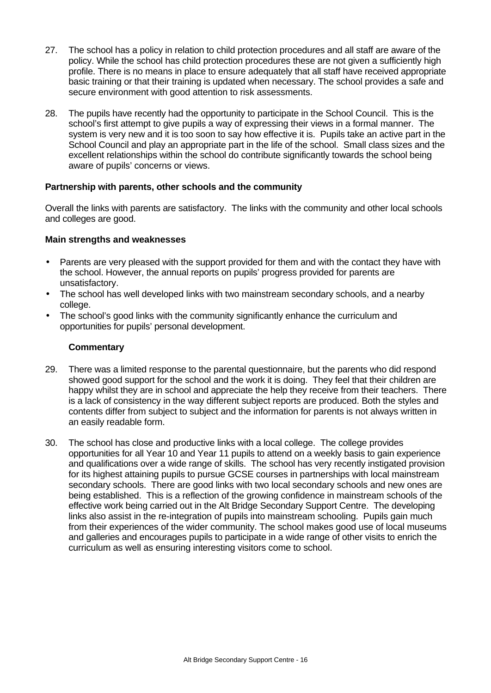- 27. The school has a policy in relation to child protection procedures and all staff are aware of the policy. While the school has child protection procedures these are not given a sufficiently high profile. There is no means in place to ensure adequately that all staff have received appropriate basic training or that their training is updated when necessary. The school provides a safe and secure environment with good attention to risk assessments.
- 28. The pupils have recently had the opportunity to participate in the School Council. This is the school's first attempt to give pupils a way of expressing their views in a formal manner. The system is very new and it is too soon to say how effective it is. Pupils take an active part in the School Council and play an appropriate part in the life of the school. Small class sizes and the excellent relationships within the school do contribute significantly towards the school being aware of pupils' concerns or views.

# **Partnership with parents, other schools and the community**

Overall the links with parents are satisfactory. The links with the community and other local schools and colleges are good.

# **Main strengths and weaknesses**

- Parents are very pleased with the support provided for them and with the contact they have with the school. However, the annual reports on pupils' progress provided for parents are unsatisfactory.
- The school has well developed links with two mainstream secondary schools, and a nearby college.
- The school's good links with the community significantly enhance the curriculum and opportunities for pupils' personal development.

- 29. There was a limited response to the parental questionnaire, but the parents who did respond showed good support for the school and the work it is doing. They feel that their children are happy whilst they are in school and appreciate the help they receive from their teachers. There is a lack of consistency in the way different subject reports are produced. Both the styles and contents differ from subject to subject and the information for parents is not always written in an easily readable form.
- 30. The school has close and productive links with a local college. The college provides opportunities for all Year 10 and Year 11 pupils to attend on a weekly basis to gain experience and qualifications over a wide range of skills. The school has very recently instigated provision for its highest attaining pupils to pursue GCSE courses in partnerships with local mainstream secondary schools. There are good links with two local secondary schools and new ones are being established. This is a reflection of the growing confidence in mainstream schools of the effective work being carried out in the Alt Bridge Secondary Support Centre. The developing links also assist in the re-integration of pupils into mainstream schooling. Pupils gain much from their experiences of the wider community. The school makes good use of local museums and galleries and encourages pupils to participate in a wide range of other visits to enrich the curriculum as well as ensuring interesting visitors come to school.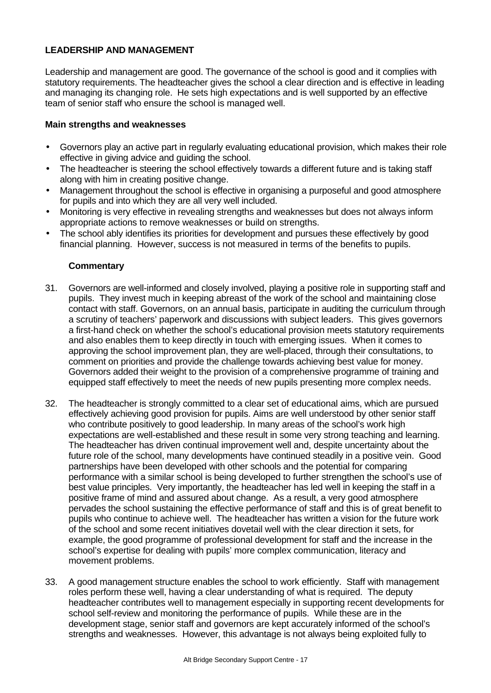# **LEADERSHIP AND MANAGEMENT**

Leadership and management are good. The governance of the school is good and it complies with statutory requirements. The headteacher gives the school a clear direction and is effective in leading and managing its changing role. He sets high expectations and is well supported by an effective team of senior staff who ensure the school is managed well.

# **Main strengths and weaknesses**

- Governors play an active part in regularly evaluating educational provision, which makes their role effective in giving advice and guiding the school.
- The headteacher is steering the school effectively towards a different future and is taking staff along with him in creating positive change.
- Management throughout the school is effective in organising a purposeful and good atmosphere for pupils and into which they are all very well included.
- Monitoring is very effective in revealing strengths and weaknesses but does not always inform appropriate actions to remove weaknesses or build on strengths.
- The school ably identifies its priorities for development and pursues these effectively by good financial planning. However, success is not measured in terms of the benefits to pupils.

- 31. Governors are well-informed and closely involved, playing a positive role in supporting staff and pupils. They invest much in keeping abreast of the work of the school and maintaining close contact with staff. Governors, on an annual basis, participate in auditing the curriculum through a scrutiny of teachers' paperwork and discussions with subject leaders. This gives governors a first-hand check on whether the school's educational provision meets statutory requirements and also enables them to keep directly in touch with emerging issues. When it comes to approving the school improvement plan, they are well-placed, through their consultations, to comment on priorities and provide the challenge towards achieving best value for money. Governors added their weight to the provision of a comprehensive programme of training and equipped staff effectively to meet the needs of new pupils presenting more complex needs.
- 32. The headteacher is strongly committed to a clear set of educational aims, which are pursued effectively achieving good provision for pupils. Aims are well understood by other senior staff who contribute positively to good leadership. In many areas of the school's work high expectations are well-established and these result in some very strong teaching and learning. The headteacher has driven continual improvement well and, despite uncertainty about the future role of the school, many developments have continued steadily in a positive vein. Good partnerships have been developed with other schools and the potential for comparing performance with a similar school is being developed to further strengthen the school's use of best value principles. Very importantly, the headteacher has led well in keeping the staff in a positive frame of mind and assured about change. As a result, a very good atmosphere pervades the school sustaining the effective performance of staff and this is of great benefit to pupils who continue to achieve well. The headteacher has written a vision for the future work of the school and some recent initiatives dovetail well with the clear direction it sets, for example, the good programme of professional development for staff and the increase in the school's expertise for dealing with pupils' more complex communication, literacy and movement problems.
- 33. A good management structure enables the school to work efficiently. Staff with management roles perform these well, having a clear understanding of what is required. The deputy headteacher contributes well to management especially in supporting recent developments for school self-review and monitoring the performance of pupils. While these are in the development stage, senior staff and governors are kept accurately informed of the school's strengths and weaknesses. However, this advantage is not always being exploited fully to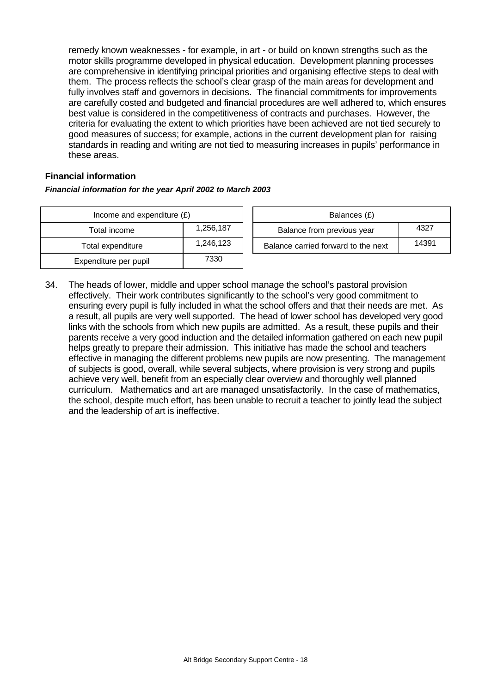remedy known weaknesses - for example, in art - or build on known strengths such as the motor skills programme developed in physical education. Development planning processes are comprehensive in identifying principal priorities and organising effective steps to deal with them. The process reflects the school's clear grasp of the main areas for development and fully involves staff and governors in decisions. The financial commitments for improvements are carefully costed and budgeted and financial procedures are well adhered to, which ensures best value is considered in the competitiveness of contracts and purchases. However, the criteria for evaluating the extent to which priorities have been achieved are not tied securely to good measures of success; for example, actions in the current development plan for raising standards in reading and writing are not tied to measuring increases in pupils' performance in these areas.

# **Financial information**

#### *Financial information for the year April 2002 to March 2003*

| Income and expenditure $(E)$ |           |  | Balances (£)                     |
|------------------------------|-----------|--|----------------------------------|
| Total income                 | 1,256,187 |  | Balance from previous year       |
| Total expenditure            | 1,246,123 |  | Balance carried forward to the i |
| Expenditure per pupil        | 7330      |  |                                  |

| Income and expenditure $(E)$ |           | Balances (£)                        |       |
|------------------------------|-----------|-------------------------------------|-------|
| Total income                 | 1.256.187 | Balance from previous year          | 4327  |
| Total expenditure            | 1.246.123 | Balance carried forward to the next | 14391 |

34. The heads of lower, middle and upper school manage the school's pastoral provision effectively. Their work contributes significantly to the school's very good commitment to ensuring every pupil is fully included in what the school offers and that their needs are met. As a result, all pupils are very well supported. The head of lower school has developed very good links with the schools from which new pupils are admitted. As a result, these pupils and their parents receive a very good induction and the detailed information gathered on each new pupil helps greatly to prepare their admission. This initiative has made the school and teachers effective in managing the different problems new pupils are now presenting. The management of subjects is good, overall, while several subjects, where provision is very strong and pupils achieve very well, benefit from an especially clear overview and thoroughly well planned curriculum. Mathematics and art are managed unsatisfactorily. In the case of mathematics, the school, despite much effort, has been unable to recruit a teacher to jointly lead the subject and the leadership of art is ineffective.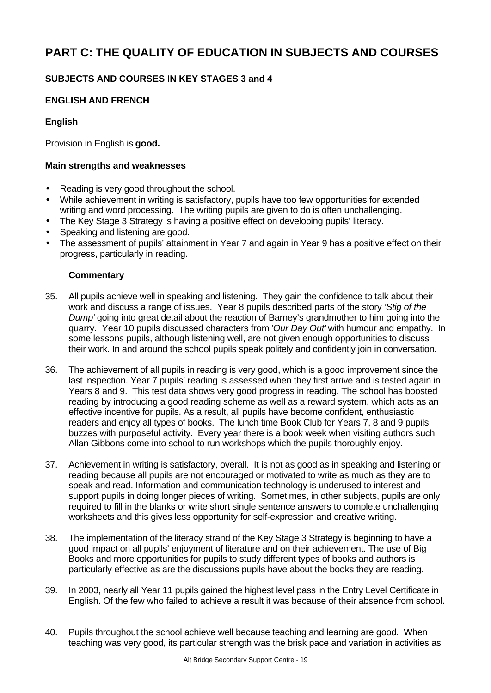# **PART C: THE QUALITY OF EDUCATION IN SUBJECTS AND COURSES**

# **SUBJECTS AND COURSES IN KEY STAGES 3 and 4**

# **ENGLISH AND FRENCH**

# **English**

Provision in English is **good.**

#### **Main strengths and weaknesses**

- Reading is very good throughout the school.
- While achievement in writing is satisfactory, pupils have too few opportunities for extended writing and word processing. The writing pupils are given to do is often unchallenging.
- The Key Stage 3 Strategy is having a positive effect on developing pupils' literacy.
- Speaking and listening are good.
- The assessment of pupils' attainment in Year 7 and again in Year 9 has a positive effect on their progress, particularly in reading.

- 35. All pupils achieve well in speaking and listening. They gain the confidence to talk about their work and discuss a range of issues. Year 8 pupils described parts of the story *'Stig of the Dump'* going into great detail about the reaction of Barney's grandmother to him going into the quarry. Year 10 pupils discussed characters from *'Our Day Out'* with humour and empathy. In some lessons pupils, although listening well, are not given enough opportunities to discuss their work. In and around the school pupils speak politely and confidently join in conversation.
- 36. The achievement of all pupils in reading is very good, which is a good improvement since the last inspection. Year 7 pupils' reading is assessed when they first arrive and is tested again in Years 8 and 9. This test data shows very good progress in reading. The school has boosted reading by introducing a good reading scheme as well as a reward system, which acts as an effective incentive for pupils. As a result, all pupils have become confident, enthusiastic readers and enjoy all types of books. The lunch time Book Club for Years 7, 8 and 9 pupils buzzes with purposeful activity. Every year there is a book week when visiting authors such Allan Gibbons come into school to run workshops which the pupils thoroughly enjoy.
- 37. Achievement in writing is satisfactory, overall. It is not as good as in speaking and listening or reading because all pupils are not encouraged or motivated to write as much as they are to speak and read. Information and communication technology is underused to interest and support pupils in doing longer pieces of writing. Sometimes, in other subjects, pupils are only required to fill in the blanks or write short single sentence answers to complete unchallenging worksheets and this gives less opportunity for self-expression and creative writing.
- 38. The implementation of the literacy strand of the Key Stage 3 Strategy is beginning to have a good impact on all pupils' enjoyment of literature and on their achievement. The use of Big Books and more opportunities for pupils to study different types of books and authors is particularly effective as are the discussions pupils have about the books they are reading.
- 39. In 2003, nearly all Year 11 pupils gained the highest level pass in the Entry Level Certificate in English. Of the few who failed to achieve a result it was because of their absence from school.
- 40. Pupils throughout the school achieve well because teaching and learning are good. When teaching was very good, its particular strength was the brisk pace and variation in activities as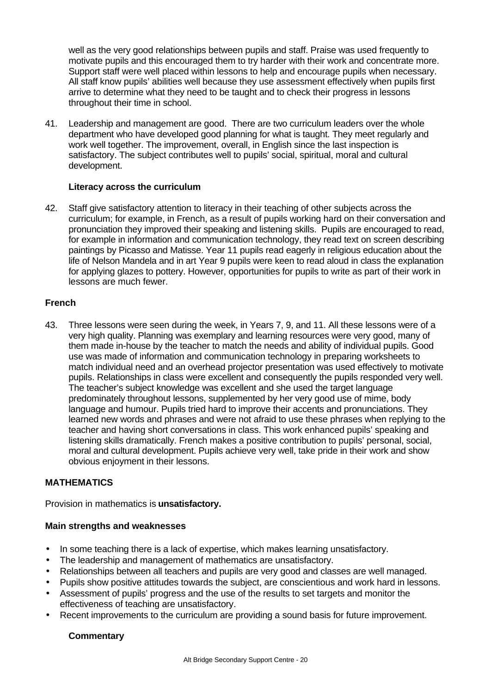well as the very good relationships between pupils and staff. Praise was used frequently to motivate pupils and this encouraged them to try harder with their work and concentrate more. Support staff were well placed within lessons to help and encourage pupils when necessary. All staff know pupils' abilities well because they use assessment effectively when pupils first arrive to determine what they need to be taught and to check their progress in lessons throughout their time in school.

41. Leadership and management are good. There are two curriculum leaders over the whole department who have developed good planning for what is taught. They meet regularly and work well together. The improvement, overall, in English since the last inspection is satisfactory. The subject contributes well to pupils' social, spiritual, moral and cultural development.

# **Literacy across the curriculum**

42. Staff give satisfactory attention to literacy in their teaching of other subjects across the curriculum; for example, in French, as a result of pupils working hard on their conversation and pronunciation they improved their speaking and listening skills. Pupils are encouraged to read, for example in information and communication technology, they read text on screen describing paintings by Picasso and Matisse. Year 11 pupils read eagerly in religious education about the life of Nelson Mandela and in art Year 9 pupils were keen to read aloud in class the explanation for applying glazes to pottery. However, opportunities for pupils to write as part of their work in lessons are much fewer.

# **French**

43. Three lessons were seen during the week, in Years 7, 9, and 11. All these lessons were of a very high quality. Planning was exemplary and learning resources were very good, many of them made in-house by the teacher to match the needs and ability of individual pupils. Good use was made of information and communication technology in preparing worksheets to match individual need and an overhead projector presentation was used effectively to motivate pupils. Relationships in class were excellent and consequently the pupils responded very well. The teacher's subject knowledge was excellent and she used the target language predominately throughout lessons, supplemented by her very good use of mime, body language and humour. Pupils tried hard to improve their accents and pronunciations. They learned new words and phrases and were not afraid to use these phrases when replying to the teacher and having short conversations in class. This work enhanced pupils' speaking and listening skills dramatically. French makes a positive contribution to pupils' personal, social, moral and cultural development. Pupils achieve very well, take pride in their work and show obvious enjoyment in their lessons.

# **MATHEMATICS**

Provision in mathematics is **unsatisfactory.**

# **Main strengths and weaknesses**

- In some teaching there is a lack of expertise, which makes learning unsatisfactory.
- The leadership and management of mathematics are unsatisfactory.
- Relationships between all teachers and pupils are very good and classes are well managed.
- Pupils show positive attitudes towards the subject, are conscientious and work hard in lessons.
- Assessment of pupils' progress and the use of the results to set targets and monitor the effectiveness of teaching are unsatisfactory.
- Recent improvements to the curriculum are providing a sound basis for future improvement.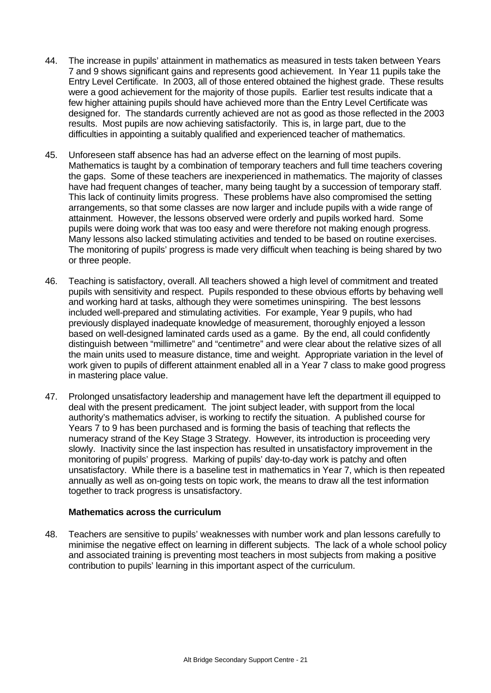- 44. The increase in pupils' attainment in mathematics as measured in tests taken between Years 7 and 9 shows significant gains and represents good achievement. In Year 11 pupils take the Entry Level Certificate. In 2003, all of those entered obtained the highest grade. These results were a good achievement for the majority of those pupils. Earlier test results indicate that a few higher attaining pupils should have achieved more than the Entry Level Certificate was designed for. The standards currently achieved are not as good as those reflected in the 2003 results. Most pupils are now achieving satisfactorily. This is, in large part, due to the difficulties in appointing a suitably qualified and experienced teacher of mathematics.
- 45. Unforeseen staff absence has had an adverse effect on the learning of most pupils. Mathematics is taught by a combination of temporary teachers and full time teachers covering the gaps. Some of these teachers are inexperienced in mathematics. The majority of classes have had frequent changes of teacher, many being taught by a succession of temporary staff. This lack of continuity limits progress. These problems have also compromised the setting arrangements, so that some classes are now larger and include pupils with a wide range of attainment. However, the lessons observed were orderly and pupils worked hard. Some pupils were doing work that was too easy and were therefore not making enough progress. Many lessons also lacked stimulating activities and tended to be based on routine exercises. The monitoring of pupils' progress is made very difficult when teaching is being shared by two or three people.
- 46. Teaching is satisfactory, overall. All teachers showed a high level of commitment and treated pupils with sensitivity and respect. Pupils responded to these obvious efforts by behaving well and working hard at tasks, although they were sometimes uninspiring. The best lessons included well-prepared and stimulating activities. For example, Year 9 pupils, who had previously displayed inadequate knowledge of measurement, thoroughly enjoyed a lesson based on well-designed laminated cards used as a game. By the end, all could confidently distinguish between "millimetre" and "centimetre" and were clear about the relative sizes of all the main units used to measure distance, time and weight. Appropriate variation in the level of work given to pupils of different attainment enabled all in a Year 7 class to make good progress in mastering place value.
- 47. Prolonged unsatisfactory leadership and management have left the department ill equipped to deal with the present predicament. The joint subject leader, with support from the local authority's mathematics adviser, is working to rectify the situation. A published course for Years 7 to 9 has been purchased and is forming the basis of teaching that reflects the numeracy strand of the Key Stage 3 Strategy. However, its introduction is proceeding very slowly. Inactivity since the last inspection has resulted in unsatisfactory improvement in the monitoring of pupils' progress. Marking of pupils' day-to-day work is patchy and often unsatisfactory. While there is a baseline test in mathematics in Year 7, which is then repeated annually as well as on-going tests on topic work, the means to draw all the test information together to track progress is unsatisfactory.

#### **Mathematics across the curriculum**

48. Teachers are sensitive to pupils' weaknesses with number work and plan lessons carefully to minimise the negative effect on learning in different subjects. The lack of a whole school policy and associated training is preventing most teachers in most subjects from making a positive contribution to pupils' learning in this important aspect of the curriculum.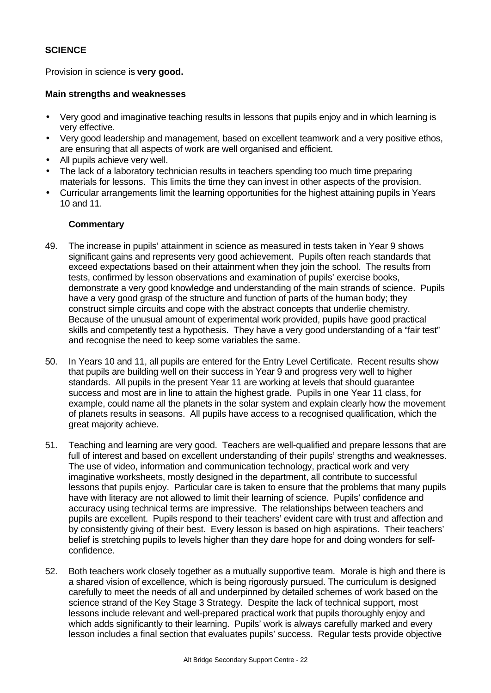# **SCIENCE**

Provision in science is **very good.**

### **Main strengths and weaknesses**

- Very good and imaginative teaching results in lessons that pupils enjoy and in which learning is very effective.
- Very good leadership and management, based on excellent teamwork and a very positive ethos, are ensuring that all aspects of work are well organised and efficient.
- All pupils achieve very well.
- The lack of a laboratory technician results in teachers spending too much time preparing materials for lessons. This limits the time they can invest in other aspects of the provision.
- Curricular arrangements limit the learning opportunities for the highest attaining pupils in Years 10 and 11.

- 49. The increase in pupils' attainment in science as measured in tests taken in Year 9 shows significant gains and represents very good achievement. Pupils often reach standards that exceed expectations based on their attainment when they join the school. The results from tests, confirmed by lesson observations and examination of pupils' exercise books, demonstrate a very good knowledge and understanding of the main strands of science. Pupils have a very good grasp of the structure and function of parts of the human body; they construct simple circuits and cope with the abstract concepts that underlie chemistry. Because of the unusual amount of experimental work provided, pupils have good practical skills and competently test a hypothesis. They have a very good understanding of a "fair test" and recognise the need to keep some variables the same.
- 50. In Years 10 and 11, all pupils are entered for the Entry Level Certificate. Recent results show that pupils are building well on their success in Year 9 and progress very well to higher standards. All pupils in the present Year 11 are working at levels that should guarantee success and most are in line to attain the highest grade. Pupils in one Year 11 class, for example, could name all the planets in the solar system and explain clearly how the movement of planets results in seasons. All pupils have access to a recognised qualification, which the great majority achieve.
- 51. Teaching and learning are very good. Teachers are well-qualified and prepare lessons that are full of interest and based on excellent understanding of their pupils' strengths and weaknesses. The use of video, information and communication technology, practical work and very imaginative worksheets, mostly designed in the department, all contribute to successful lessons that pupils enjoy. Particular care is taken to ensure that the problems that many pupils have with literacy are not allowed to limit their learning of science. Pupils' confidence and accuracy using technical terms are impressive. The relationships between teachers and pupils are excellent. Pupils respond to their teachers' evident care with trust and affection and by consistently giving of their best. Every lesson is based on high aspirations. Their teachers' belief is stretching pupils to levels higher than they dare hope for and doing wonders for selfconfidence.
- 52. Both teachers work closely together as a mutually supportive team. Morale is high and there is a shared vision of excellence, which is being rigorously pursued. The curriculum is designed carefully to meet the needs of all and underpinned by detailed schemes of work based on the science strand of the Key Stage 3 Strategy. Despite the lack of technical support, most lessons include relevant and well-prepared practical work that pupils thoroughly enjoy and which adds significantly to their learning. Pupils' work is always carefully marked and every lesson includes a final section that evaluates pupils' success. Regular tests provide objective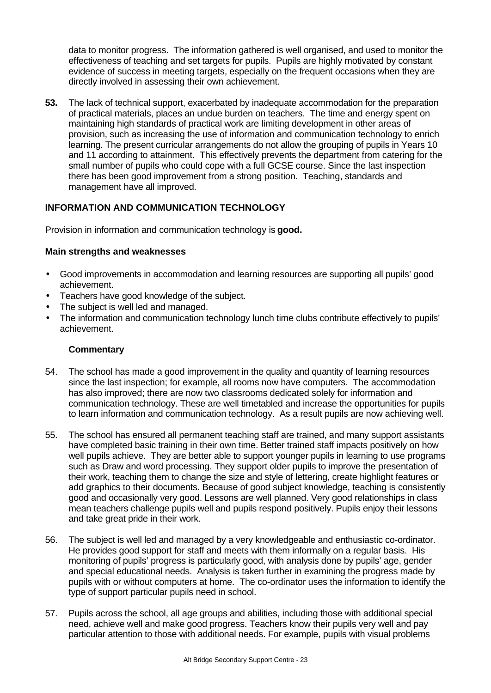data to monitor progress. The information gathered is well organised, and used to monitor the effectiveness of teaching and set targets for pupils. Pupils are highly motivated by constant evidence of success in meeting targets, especially on the frequent occasions when they are directly involved in assessing their own achievement.

**53.** The lack of technical support, exacerbated by inadequate accommodation for the preparation of practical materials, places an undue burden on teachers. The time and energy spent on maintaining high standards of practical work are limiting development in other areas of provision, such as increasing the use of information and communication technology to enrich learning. The present curricular arrangements do not allow the grouping of pupils in Years 10 and 11 according to attainment. This effectively prevents the department from catering for the small number of pupils who could cope with a full GCSE course. Since the last inspection there has been good improvement from a strong position. Teaching, standards and management have all improved.

# **INFORMATION AND COMMUNICATION TECHNOLOGY**

Provision in information and communication technology is **good.**

#### **Main strengths and weaknesses**

- Good improvements in accommodation and learning resources are supporting all pupils' good achievement.
- Teachers have good knowledge of the subject.
- The subject is well led and managed.
- The information and communication technology lunch time clubs contribute effectively to pupils' achievement.

- 54. The school has made a good improvement in the quality and quantity of learning resources since the last inspection; for example, all rooms now have computers. The accommodation has also improved; there are now two classrooms dedicated solely for information and communication technology. These are well timetabled and increase the opportunities for pupils to learn information and communication technology. As a result pupils are now achieving well.
- 55. The school has ensured all permanent teaching staff are trained, and many support assistants have completed basic training in their own time. Better trained staff impacts positively on how well pupils achieve. They are better able to support younger pupils in learning to use programs such as Draw and word processing. They support older pupils to improve the presentation of their work, teaching them to change the size and style of lettering, create highlight features or add graphics to their documents. Because of good subject knowledge, teaching is consistently good and occasionally very good. Lessons are well planned. Very good relationships in class mean teachers challenge pupils well and pupils respond positively. Pupils enjoy their lessons and take great pride in their work.
- 56. The subject is well led and managed by a very knowledgeable and enthusiastic co-ordinator. He provides good support for staff and meets with them informally on a regular basis. His monitoring of pupils' progress is particularly good, with analysis done by pupils' age, gender and special educational needs. Analysis is taken further in examining the progress made by pupils with or without computers at home. The co-ordinator uses the information to identify the type of support particular pupils need in school.
- 57. Pupils across the school, all age groups and abilities, including those with additional special need, achieve well and make good progress. Teachers know their pupils very well and pay particular attention to those with additional needs. For example, pupils with visual problems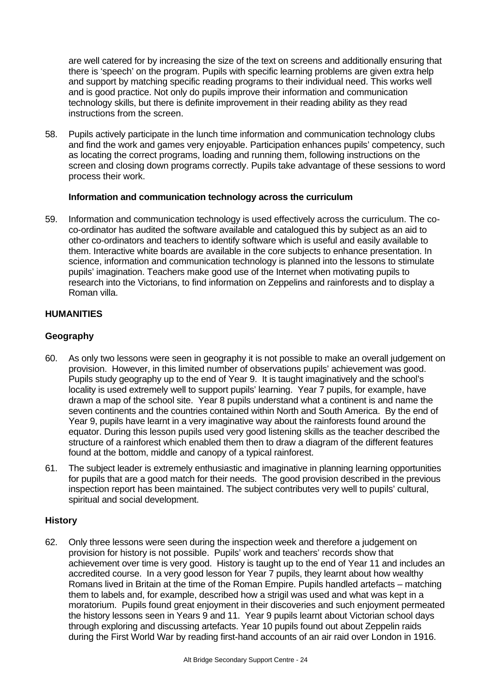are well catered for by increasing the size of the text on screens and additionally ensuring that there is 'speech' on the program. Pupils with specific learning problems are given extra help and support by matching specific reading programs to their individual need. This works well and is good practice. Not only do pupils improve their information and communication technology skills, but there is definite improvement in their reading ability as they read instructions from the screen.

58. Pupils actively participate in the lunch time information and communication technology clubs and find the work and games very enjoyable. Participation enhances pupils' competency, such as locating the correct programs, loading and running them, following instructions on the screen and closing down programs correctly. Pupils take advantage of these sessions to word process their work.

# **Information and communication technology across the curriculum**

59. Information and communication technology is used effectively across the curriculum. The coco-ordinator has audited the software available and catalogued this by subject as an aid to other co-ordinators and teachers to identify software which is useful and easily available to them. Interactive white boards are available in the core subjects to enhance presentation. In science, information and communication technology is planned into the lessons to stimulate pupils' imagination. Teachers make good use of the Internet when motivating pupils to research into the Victorians, to find information on Zeppelins and rainforests and to display a Roman villa.

# **HUMANITIES**

# **Geography**

- 60. As only two lessons were seen in geography it is not possible to make an overall judgement on provision. However, in this limited number of observations pupils' achievement was good. Pupils study geography up to the end of Year 9. It is taught imaginatively and the school's locality is used extremely well to support pupils' learning. Year 7 pupils, for example, have drawn a map of the school site. Year 8 pupils understand what a continent is and name the seven continents and the countries contained within North and South America. By the end of Year 9, pupils have learnt in a very imaginative way about the rainforests found around the equator. During this lesson pupils used very good listening skills as the teacher described the structure of a rainforest which enabled them then to draw a diagram of the different features found at the bottom, middle and canopy of a typical rainforest.
- 61. The subject leader is extremely enthusiastic and imaginative in planning learning opportunities for pupils that are a good match for their needs. The good provision described in the previous inspection report has been maintained. The subject contributes very well to pupils' cultural, spiritual and social development.

# **History**

62. Only three lessons were seen during the inspection week and therefore a judgement on provision for history is not possible. Pupils' work and teachers' records show that achievement over time is very good. History is taught up to the end of Year 11 and includes an accredited course. In a very good lesson for Year 7 pupils, they learnt about how wealthy Romans lived in Britain at the time of the Roman Empire. Pupils handled artefacts – matching them to labels and, for example, described how a strigil was used and what was kept in a moratorium. Pupils found great enjoyment in their discoveries and such enjoyment permeated the history lessons seen in Years 9 and 11. Year 9 pupils learnt about Victorian school days through exploring and discussing artefacts. Year 10 pupils found out about Zeppelin raids during the First World War by reading first-hand accounts of an air raid over London in 1916.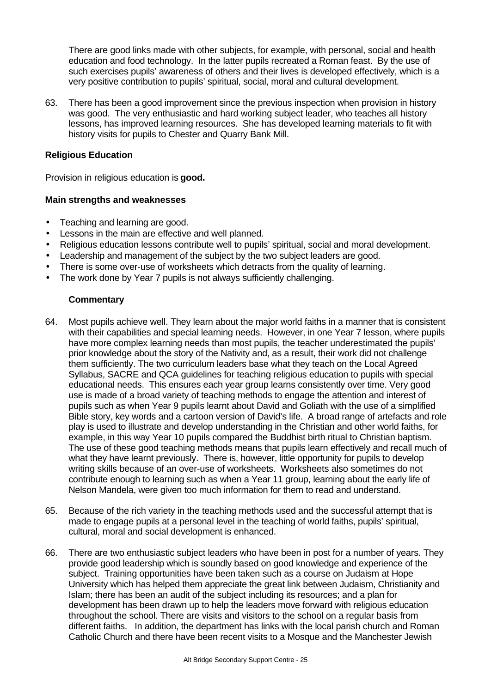There are good links made with other subjects, for example, with personal, social and health education and food technology. In the latter pupils recreated a Roman feast. By the use of such exercises pupils' awareness of others and their lives is developed effectively, which is a very positive contribution to pupils' spiritual, social, moral and cultural development.

63. There has been a good improvement since the previous inspection when provision in history was good. The very enthusiastic and hard working subject leader, who teaches all history lessons, has improved learning resources. She has developed learning materials to fit with history visits for pupils to Chester and Quarry Bank Mill.

# **Religious Education**

Provision in religious education is **good.**

#### **Main strengths and weaknesses**

- Teaching and learning are good.
- Lessons in the main are effective and well planned.
- Religious education lessons contribute well to pupils' spiritual, social and moral development.
- Leadership and management of the subject by the two subject leaders are good.
- There is some over-use of worksheets which detracts from the quality of learning.
- The work done by Year 7 pupils is not always sufficiently challenging.

- 64. Most pupils achieve well. They learn about the major world faiths in a manner that is consistent with their capabilities and special learning needs. However, in one Year 7 lesson, where pupils have more complex learning needs than most pupils, the teacher underestimated the pupils' prior knowledge about the story of the Nativity and, as a result, their work did not challenge them sufficiently. The two curriculum leaders base what they teach on the Local Agreed Syllabus, SACRE and QCA guidelines for teaching religious education to pupils with special educational needs. This ensures each year group learns consistently over time. Very good use is made of a broad variety of teaching methods to engage the attention and interest of pupils such as when Year 9 pupils learnt about David and Goliath with the use of a simplified Bible story, key words and a cartoon version of David's life. A broad range of artefacts and role play is used to illustrate and develop understanding in the Christian and other world faiths, for example, in this way Year 10 pupils compared the Buddhist birth ritual to Christian baptism. The use of these good teaching methods means that pupils learn effectively and recall much of what they have learnt previously. There is, however, little opportunity for pupils to develop writing skills because of an over-use of worksheets. Worksheets also sometimes do not contribute enough to learning such as when a Year 11 group, learning about the early life of Nelson Mandela, were given too much information for them to read and understand.
- 65. Because of the rich variety in the teaching methods used and the successful attempt that is made to engage pupils at a personal level in the teaching of world faiths, pupils' spiritual, cultural, moral and social development is enhanced.
- 66. There are two enthusiastic subject leaders who have been in post for a number of years. They provide good leadership which is soundly based on good knowledge and experience of the subject. Training opportunities have been taken such as a course on Judaism at Hope University which has helped them appreciate the great link between Judaism, Christianity and Islam; there has been an audit of the subject including its resources; and a plan for development has been drawn up to help the leaders move forward with religious education throughout the school. There are visits and visitors to the school on a regular basis from different faiths. In addition, the department has links with the local parish church and Roman Catholic Church and there have been recent visits to a Mosque and the Manchester Jewish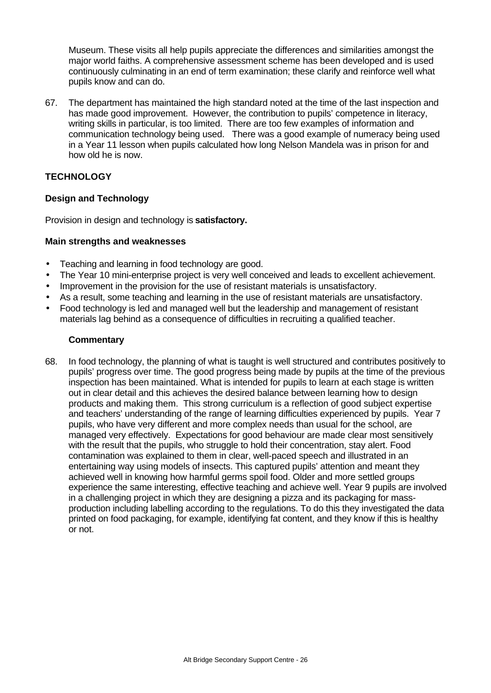Museum. These visits all help pupils appreciate the differences and similarities amongst the major world faiths. A comprehensive assessment scheme has been developed and is used continuously culminating in an end of term examination; these clarify and reinforce well what pupils know and can do.

67. The department has maintained the high standard noted at the time of the last inspection and has made good improvement. However, the contribution to pupils' competence in literacy, writing skills in particular, is too limited. There are too few examples of information and communication technology being used. There was a good example of numeracy being used in a Year 11 lesson when pupils calculated how long Nelson Mandela was in prison for and how old he is now.

# **TECHNOLOGY**

# **Design and Technology**

Provision in design and technology is **satisfactory.**

# **Main strengths and weaknesses**

- Teaching and learning in food technology are good.
- The Year 10 mini-enterprise project is very well conceived and leads to excellent achievement.
- Improvement in the provision for the use of resistant materials is unsatisfactory.
- As a result, some teaching and learning in the use of resistant materials are unsatisfactory.
- Food technology is led and managed well but the leadership and management of resistant materials lag behind as a consequence of difficulties in recruiting a qualified teacher.

# **Commentary**

68. In food technology, the planning of what is taught is well structured and contributes positively to pupils' progress over time. The good progress being made by pupils at the time of the previous inspection has been maintained. What is intended for pupils to learn at each stage is written out in clear detail and this achieves the desired balance between learning how to design products and making them. This strong curriculum is a reflection of good subject expertise and teachers' understanding of the range of learning difficulties experienced by pupils. Year 7 pupils, who have very different and more complex needs than usual for the school, are managed very effectively. Expectations for good behaviour are made clear most sensitively with the result that the pupils, who struggle to hold their concentration, stay alert. Food contamination was explained to them in clear, well-paced speech and illustrated in an entertaining way using models of insects. This captured pupils' attention and meant they achieved well in knowing how harmful germs spoil food. Older and more settled groups experience the same interesting, effective teaching and achieve well. Year 9 pupils are involved in a challenging project in which they are designing a pizza and its packaging for massproduction including labelling according to the regulations. To do this they investigated the data printed on food packaging, for example, identifying fat content, and they know if this is healthy or not.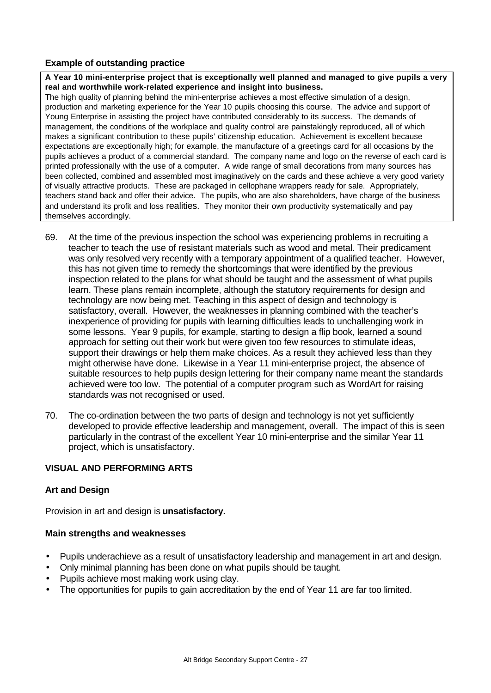# **Example of outstanding practice**

**A Year 10 mini-enterprise project that is exceptionally well planned and managed to give pupils a very real and worthwhile work-related experience and insight into business.**

The high quality of planning behind the mini-enterprise achieves a most effective simulation of a design, production and marketing experience for the Year 10 pupils choosing this course. The advice and support of Young Enterprise in assisting the project have contributed considerably to its success. The demands of management, the conditions of the workplace and quality control are painstakingly reproduced, all of which makes a significant contribution to these pupils' citizenship education. Achievement is excellent because expectations are exceptionally high; for example, the manufacture of a greetings card for all occasions by the pupils achieves a product of a commercial standard. The company name and logo on the reverse of each card is printed professionally with the use of a computer. A wide range of small decorations from many sources has been collected, combined and assembled most imaginatively on the cards and these achieve a very good variety of visually attractive products. These are packaged in cellophane wrappers ready for sale. Appropriately, teachers stand back and offer their advice. The pupils, who are also shareholders, have charge of the business and understand its profit and loss realities. They monitor their own productivity systematically and pay themselves accordingly.

- 69. At the time of the previous inspection the school was experiencing problems in recruiting a teacher to teach the use of resistant materials such as wood and metal. Their predicament was only resolved very recently with a temporary appointment of a qualified teacher. However, this has not given time to remedy the shortcomings that were identified by the previous inspection related to the plans for what should be taught and the assessment of what pupils learn. These plans remain incomplete, although the statutory requirements for design and technology are now being met. Teaching in this aspect of design and technology is satisfactory, overall. However, the weaknesses in planning combined with the teacher's inexperience of providing for pupils with learning difficulties leads to unchallenging work in some lessons. Year 9 pupils, for example, starting to design a flip book, learned a sound approach for setting out their work but were given too few resources to stimulate ideas, support their drawings or help them make choices. As a result they achieved less than they might otherwise have done. Likewise in a Year 11 mini-enterprise project, the absence of suitable resources to help pupils design lettering for their company name meant the standards achieved were too low. The potential of a computer program such as WordArt for raising standards was not recognised or used.
- 70. The co-ordination between the two parts of design and technology is not yet sufficiently developed to provide effective leadership and management, overall. The impact of this is seen particularly in the contrast of the excellent Year 10 mini-enterprise and the similar Year 11 project, which is unsatisfactory.

# **VISUAL AND PERFORMING ARTS**

# **Art and Design**

Provision in art and design is **unsatisfactory.**

#### **Main strengths and weaknesses**

- Pupils underachieve as a result of unsatisfactory leadership and management in art and design.
- Only minimal planning has been done on what pupils should be taught.
- Pupils achieve most making work using clay.
- The opportunities for pupils to gain accreditation by the end of Year 11 are far too limited.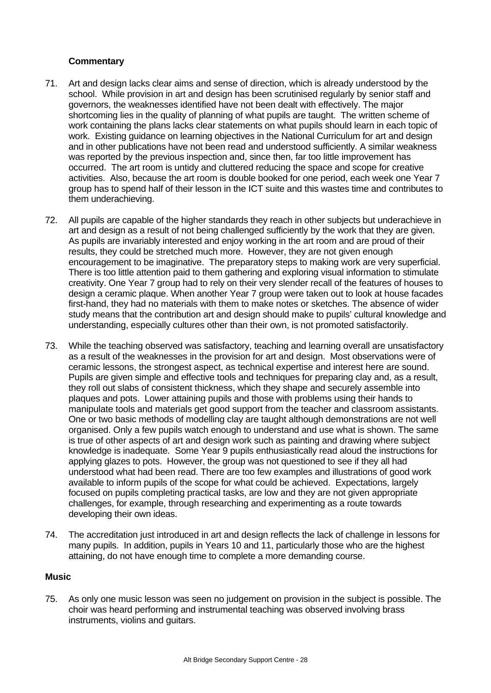# **Commentary**

- 71. Art and design lacks clear aims and sense of direction, which is already understood by the school. While provision in art and design has been scrutinised regularly by senior staff and governors, the weaknesses identified have not been dealt with effectively. The major shortcoming lies in the quality of planning of what pupils are taught. The written scheme of work containing the plans lacks clear statements on what pupils should learn in each topic of work. Existing guidance on learning objectives in the National Curriculum for art and design and in other publications have not been read and understood sufficiently. A similar weakness was reported by the previous inspection and, since then, far too little improvement has occurred. The art room is untidy and cluttered reducing the space and scope for creative activities. Also, because the art room is double booked for one period, each week one Year 7 group has to spend half of their lesson in the ICT suite and this wastes time and contributes to them underachieving.
- 72. All pupils are capable of the higher standards they reach in other subjects but underachieve in art and design as a result of not being challenged sufficiently by the work that they are given. As pupils are invariably interested and enjoy working in the art room and are proud of their results, they could be stretched much more. However, they are not given enough encouragement to be imaginative. The preparatory steps to making work are very superficial. There is too little attention paid to them gathering and exploring visual information to stimulate creativity. One Year 7 group had to rely on their very slender recall of the features of houses to design a ceramic plaque. When another Year 7 group were taken out to look at house facades first-hand, they had no materials with them to make notes or sketches. The absence of wider study means that the contribution art and design should make to pupils' cultural knowledge and understanding, especially cultures other than their own, is not promoted satisfactorily.
- 73. While the teaching observed was satisfactory, teaching and learning overall are unsatisfactory as a result of the weaknesses in the provision for art and design. Most observations were of ceramic lessons, the strongest aspect, as technical expertise and interest here are sound. Pupils are given simple and effective tools and techniques for preparing clay and, as a result, they roll out slabs of consistent thickness, which they shape and securely assemble into plaques and pots. Lower attaining pupils and those with problems using their hands to manipulate tools and materials get good support from the teacher and classroom assistants. One or two basic methods of modelling clay are taught although demonstrations are not well organised. Only a few pupils watch enough to understand and use what is shown. The same is true of other aspects of art and design work such as painting and drawing where subject knowledge is inadequate. Some Year 9 pupils enthusiastically read aloud the instructions for applying glazes to pots. However, the group was not questioned to see if they all had understood what had been read. There are too few examples and illustrations of good work available to inform pupils of the scope for what could be achieved. Expectations, largely focused on pupils completing practical tasks, are low and they are not given appropriate challenges, for example, through researching and experimenting as a route towards developing their own ideas.
- 74. The accreditation just introduced in art and design reflects the lack of challenge in lessons for many pupils. In addition, pupils in Years 10 and 11, particularly those who are the highest attaining, do not have enough time to complete a more demanding course.

# **Music**

75. As only one music lesson was seen no judgement on provision in the subject is possible. The choir was heard performing and instrumental teaching was observed involving brass instruments, violins and guitars.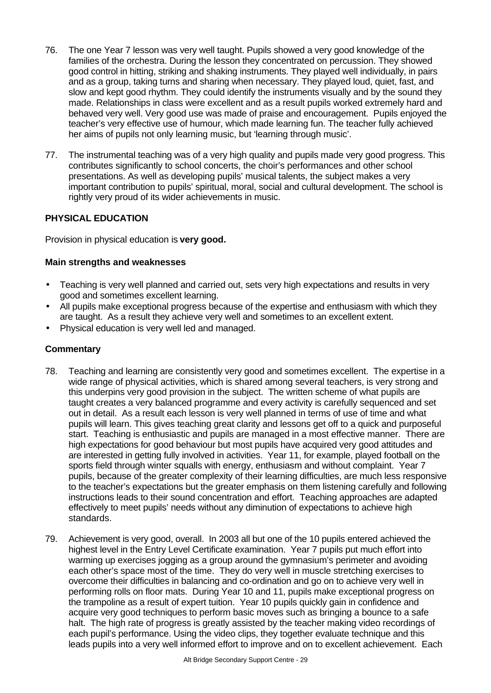- 76. The one Year 7 lesson was very well taught. Pupils showed a very good knowledge of the families of the orchestra. During the lesson they concentrated on percussion. They showed good control in hitting, striking and shaking instruments. They played well individually, in pairs and as a group, taking turns and sharing when necessary. They played loud, quiet, fast, and slow and kept good rhythm. They could identify the instruments visually and by the sound they made. Relationships in class were excellent and as a result pupils worked extremely hard and behaved very well. Very good use was made of praise and encouragement. Pupils enjoyed the teacher's very effective use of humour, which made learning fun. The teacher fully achieved her aims of pupils not only learning music, but 'learning through music'.
- 77. The instrumental teaching was of a very high quality and pupils made very good progress. This contributes significantly to school concerts, the choir's performances and other school presentations. As well as developing pupils' musical talents, the subject makes a very important contribution to pupils' spiritual, moral, social and cultural development. The school is rightly very proud of its wider achievements in music.

# **PHYSICAL EDUCATION**

Provision in physical education is **very good.**

# **Main strengths and weaknesses**

- Teaching is very well planned and carried out, sets very high expectations and results in very good and sometimes excellent learning.
- All pupils make exceptional progress because of the expertise and enthusiasm with which they are taught. As a result they achieve very well and sometimes to an excellent extent.
- Physical education is very well led and managed.

- 78. Teaching and learning are consistently very good and sometimes excellent. The expertise in a wide range of physical activities, which is shared among several teachers, is very strong and this underpins very good provision in the subject. The written scheme of what pupils are taught creates a very balanced programme and every activity is carefully sequenced and set out in detail. As a result each lesson is very well planned in terms of use of time and what pupils will learn. This gives teaching great clarity and lessons get off to a quick and purposeful start. Teaching is enthusiastic and pupils are managed in a most effective manner. There are high expectations for good behaviour but most pupils have acquired very good attitudes and are interested in getting fully involved in activities. Year 11, for example, played football on the sports field through winter squalls with energy, enthusiasm and without complaint. Year 7 pupils, because of the greater complexity of their learning difficulties, are much less responsive to the teacher's expectations but the greater emphasis on them listening carefully and following instructions leads to their sound concentration and effort. Teaching approaches are adapted effectively to meet pupils' needs without any diminution of expectations to achieve high standards.
- 79. Achievement is very good, overall. In 2003 all but one of the 10 pupils entered achieved the highest level in the Entry Level Certificate examination. Year 7 pupils put much effort into warming up exercises jogging as a group around the gymnasium's perimeter and avoiding each other's space most of the time. They do very well in muscle stretching exercises to overcome their difficulties in balancing and co-ordination and go on to achieve very well in performing rolls on floor mats. During Year 10 and 11, pupils make exceptional progress on the trampoline as a result of expert tuition. Year 10 pupils quickly gain in confidence and acquire very good techniques to perform basic moves such as bringing a bounce to a safe halt. The high rate of progress is greatly assisted by the teacher making video recordings of each pupil's performance. Using the video clips, they together evaluate technique and this leads pupils into a very well informed effort to improve and on to excellent achievement. Each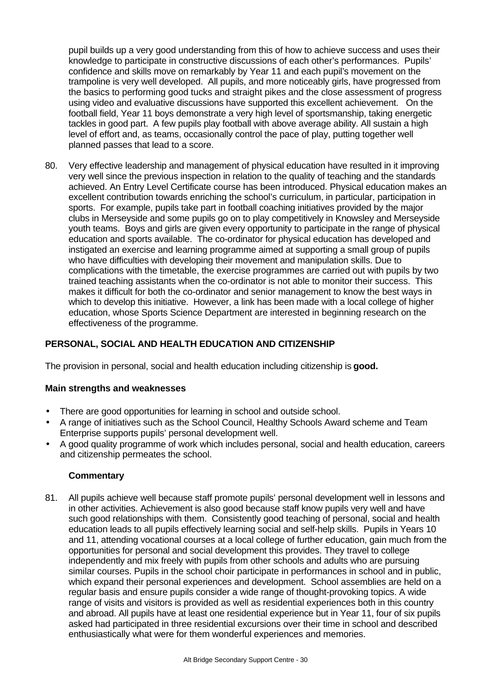pupil builds up a very good understanding from this of how to achieve success and uses their knowledge to participate in constructive discussions of each other's performances. Pupils' confidence and skills move on remarkably by Year 11 and each pupil's movement on the trampoline is very well developed. All pupils, and more noticeably girls, have progressed from the basics to performing good tucks and straight pikes and the close assessment of progress using video and evaluative discussions have supported this excellent achievement. On the football field, Year 11 boys demonstrate a very high level of sportsmanship, taking energetic tackles in good part. A few pupils play football with above average ability. All sustain a high level of effort and, as teams, occasionally control the pace of play, putting together well planned passes that lead to a score.

80. Very effective leadership and management of physical education have resulted in it improving very well since the previous inspection in relation to the quality of teaching and the standards achieved. An Entry Level Certificate course has been introduced. Physical education makes an excellent contribution towards enriching the school's curriculum, in particular, participation in sports. For example, pupils take part in football coaching initiatives provided by the major clubs in Merseyside and some pupils go on to play competitively in Knowsley and Merseyside youth teams. Boys and girls are given every opportunity to participate in the range of physical education and sports available. The co-ordinator for physical education has developed and instigated an exercise and learning programme aimed at supporting a small group of pupils who have difficulties with developing their movement and manipulation skills. Due to complications with the timetable, the exercise programmes are carried out with pupils by two trained teaching assistants when the co-ordinator is not able to monitor their success. This makes it difficult for both the co-ordinator and senior management to know the best ways in which to develop this initiative. However, a link has been made with a local college of higher education, whose Sports Science Department are interested in beginning research on the effectiveness of the programme.

# **PERSONAL, SOCIAL AND HEALTH EDUCATION AND CITIZENSHIP**

The provision in personal, social and health education including citizenship is **good.**

# **Main strengths and weaknesses**

- There are good opportunities for learning in school and outside school.
- A range of initiatives such as the School Council, Healthy Schools Award scheme and Team Enterprise supports pupils' personal development well.
- A good quality programme of work which includes personal, social and health education, careers and citizenship permeates the school.

# **Commentary**

81. All pupils achieve well because staff promote pupils' personal development well in lessons and in other activities. Achievement is also good because staff know pupils very well and have such good relationships with them. Consistently good teaching of personal, social and health education leads to all pupils effectively learning social and self-help skills. Pupils in Years 10 and 11, attending vocational courses at a local college of further education, gain much from the opportunities for personal and social development this provides. They travel to college independently and mix freely with pupils from other schools and adults who are pursuing similar courses. Pupils in the school choir participate in performances in school and in public, which expand their personal experiences and development. School assemblies are held on a regular basis and ensure pupils consider a wide range of thought-provoking topics. A wide range of visits and visitors is provided as well as residential experiences both in this country and abroad. All pupils have at least one residential experience but in Year 11, four of six pupils asked had participated in three residential excursions over their time in school and described enthusiastically what were for them wonderful experiences and memories.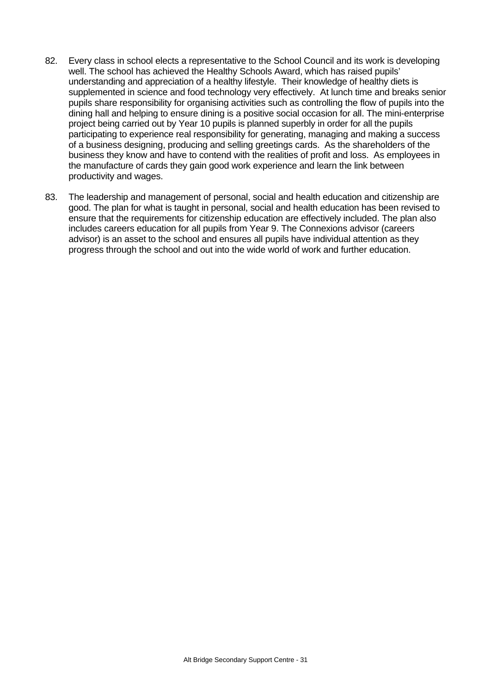- 82. Every class in school elects a representative to the School Council and its work is developing well. The school has achieved the Healthy Schools Award, which has raised pupils' understanding and appreciation of a healthy lifestyle. Their knowledge of healthy diets is supplemented in science and food technology very effectively. At lunch time and breaks senior pupils share responsibility for organising activities such as controlling the flow of pupils into the dining hall and helping to ensure dining is a positive social occasion for all. The mini-enterprise project being carried out by Year 10 pupils is planned superbly in order for all the pupils participating to experience real responsibility for generating, managing and making a success of a business designing, producing and selling greetings cards. As the shareholders of the business they know and have to contend with the realities of profit and loss. As employees in the manufacture of cards they gain good work experience and learn the link between productivity and wages.
- 83. The leadership and management of personal, social and health education and citizenship are good. The plan for what is taught in personal, social and health education has been revised to ensure that the requirements for citizenship education are effectively included. The plan also includes careers education for all pupils from Year 9. The Connexions advisor (careers advisor) is an asset to the school and ensures all pupils have individual attention as they progress through the school and out into the wide world of work and further education.